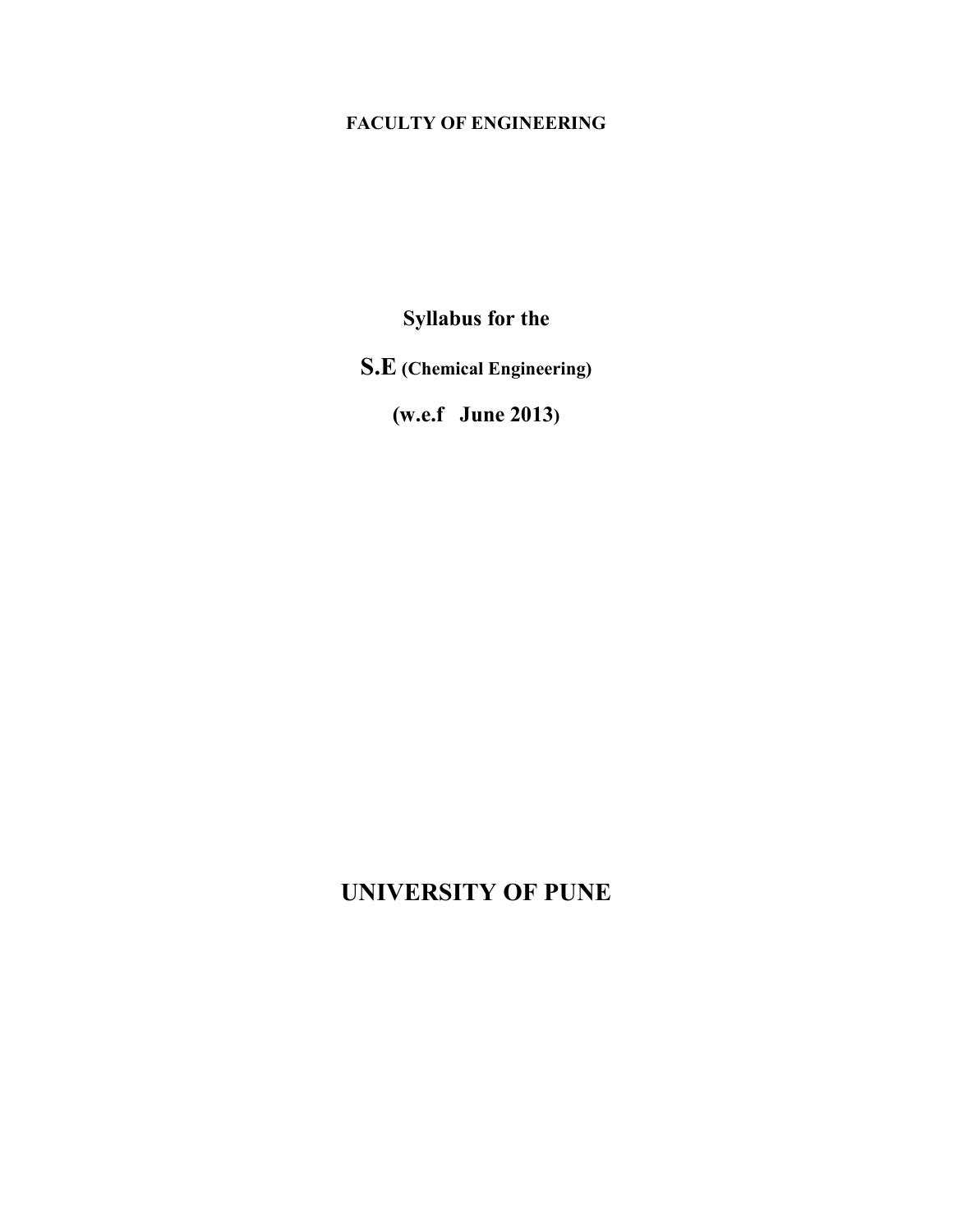# **FACULTY OF ENGINEERING**

**Syllabus for the** 

**S.E (Chemical Engineering)** 

**(w.e.f June 2013)** 

# **UNIVERSITY OF PUNE**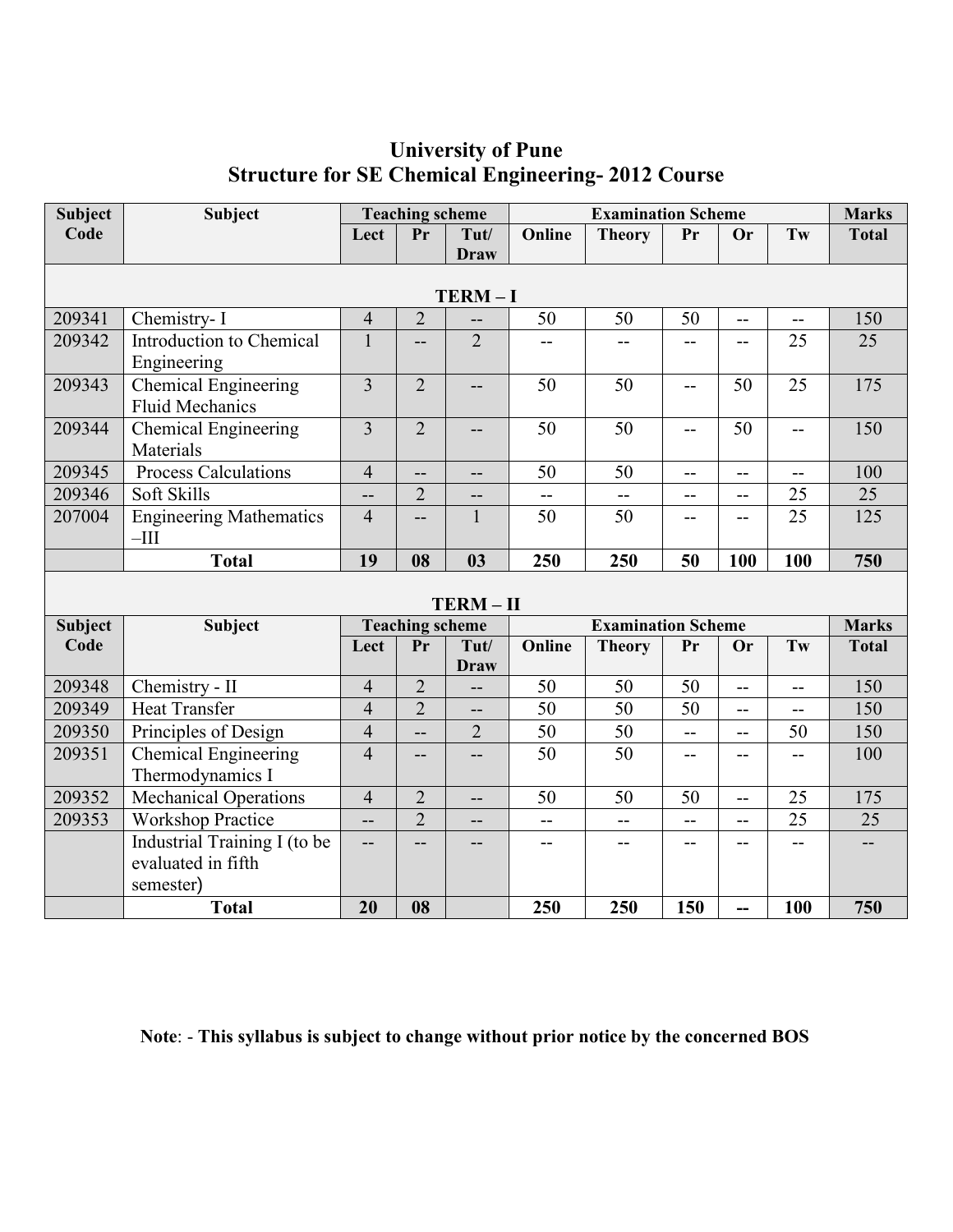#### **Subject Code Subject Teaching scheme Examination Scheme Marks** Lect  $\vert$  **Pr**  $\vert$  **Tut**/ **Draw Online Theory Pr Or Tw Total TERM – I** 209341 | Chemistry- I 150 | 2 | -- | 50 | 50 | 50 | -- | -- | 150 209342 Introduction to Chemical Engineering 1 - 2 - - - - - - 25 25 209343 Chemical Engineering Fluid Mechanics 3 | 2 | -- | 50 | 50 | -- | 50 | 25 | 175 209344 Chemical Engineering Materials 3 | 2 | -- | 50 | 50 | -- | 50 | -- | 150  $209345$  Process Calculations 4 -- 50 50 50 -- -209346 Soft Skills -- 2 -- -- -- -- -- 25 25 207004 Engineering Mathematics  $-III$ 4 -- 1 50 50 -- - 25 125 **Total 19 08 03 250 250 50 100 100 750 TERM – II Subject Code Subject Teaching scheme Examination Scheme Marks Lect Pr Tut/ Draw Online Theory Pr Or Tw Total** 209348 Chemistry - II 4 2 - 50 50 50 -- - 150 209349 Heat Transfer 4 2 -- 50 50 50 -- -- 150 209350 Principles of Design 4 -- 2 50 50 -- -- 50 150 209351 Chemical Engineering Thermodynamics I 4 -- -- 50 50 -- - - 100 209352 Mechanical Operations 4 2 -- 50 50 50 -- 25 175 209353 | Workshop Practice  $\begin{vmatrix} -1 & 2 & -1 & -1 & -1 & -1 & -1 & -1 & 25 & 25 \end{vmatrix}$ Industrial Training I (to be evaluated in fifth semester) -- -- -- -- -- -- -- -- -- **Total 20 08 250 250 150 -- 100 750**

# **University of Pune Structure for SE Chemical Engineering- 2012 Course**

**Note**: - **This syllabus is subject to change without prior notice by the concerned BOS**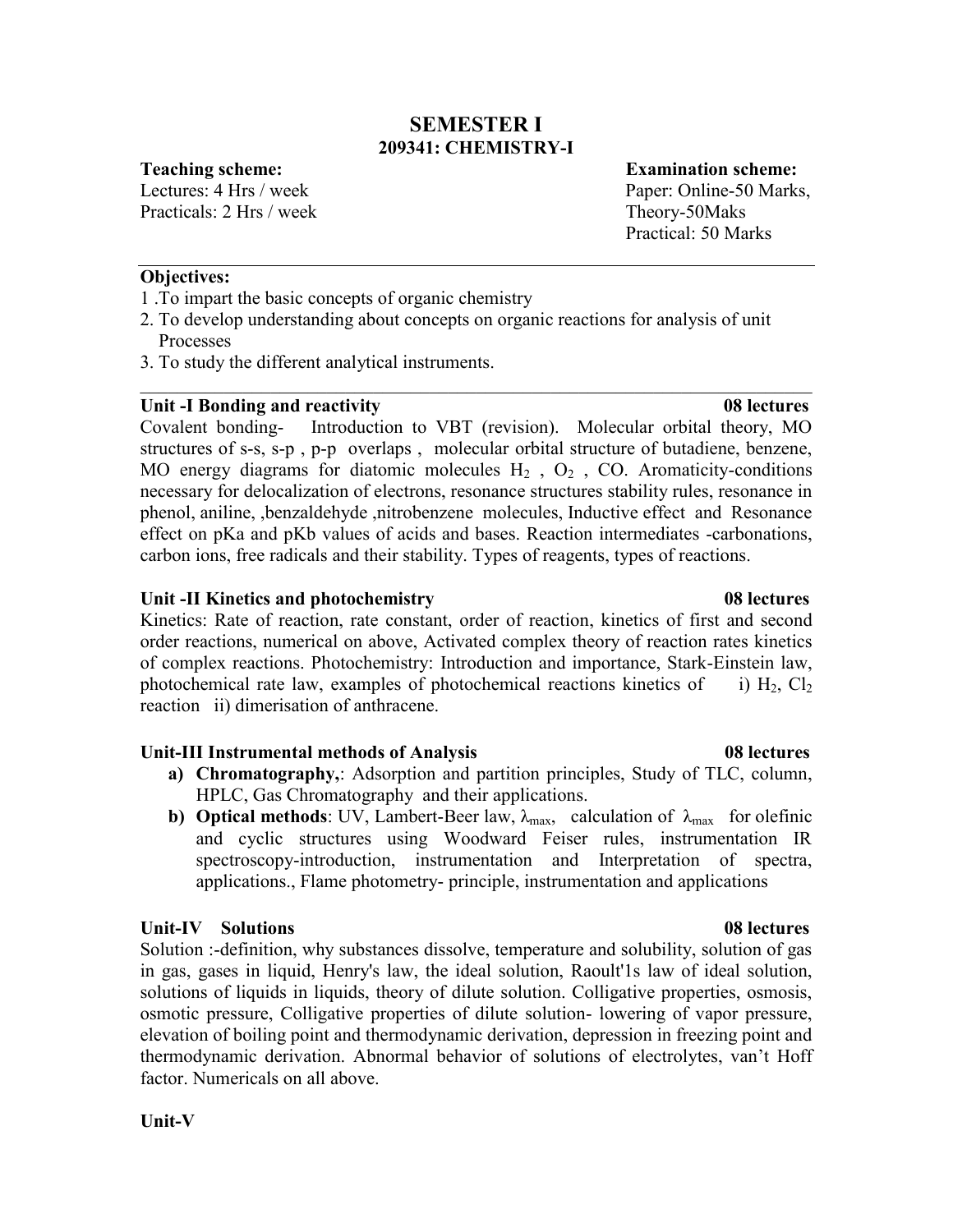# **SEMESTER I 209341: CHEMISTRY-I**

Practicals: 2 Hrs / week Theory-50Maks

**Teaching scheme: Examination scheme:** Lectures: 4 Hrs / week Paper: Online-50 Marks, Practical: 50 Marks

# **Objectives:**

- 1 .To impart the basic concepts of organic chemistry
- 2. To develop understanding about concepts on organic reactions for analysis of unit Processes
- 3. To study the different analytical instruments.

# **Unit -I Bonding and reactivity 08 lectures**

Covalent bonding- Introduction to VBT (revision). Molecular orbital theory, MO structures of s-s, s-p , p-p overlaps , molecular orbital structure of butadiene, benzene, MO energy diagrams for diatomic molecules  $H_2$ ,  $O_2$ , CO. Aromaticity-conditions necessary for delocalization of electrons, resonance structures stability rules, resonance in phenol, aniline, ,benzaldehyde ,nitrobenzene molecules, Inductive effect and Resonance effect on pKa and pKb values of acids and bases. Reaction intermediates -carbonations, carbon ions, free radicals and their stability. Types of reagents, types of reactions.

\_\_\_\_\_\_\_\_\_\_\_\_\_\_\_\_\_\_\_\_\_\_\_\_\_\_\_\_\_\_\_\_\_\_\_\_\_\_\_\_\_\_\_\_\_\_\_\_\_\_\_\_\_\_\_\_\_\_\_\_\_\_\_\_\_\_\_\_\_\_\_\_

# **Unit -II Kinetics and photochemistry 08 lectures**

Kinetics: Rate of reaction, rate constant, order of reaction, kinetics of first and second order reactions, numerical on above, Activated complex theory of reaction rates kinetics of complex reactions. Photochemistry: Introduction and importance, Stark-Einstein law, photochemical rate law, examples of photochemical reactions kinetics of i)  $H_2$ ,  $Cl_2$ reaction ii) dimerisation of anthracene.

# **Unit-III Instrumental methods of Analysis 08 lectures**

- **a) Chromatography,**: Adsorption and partition principles, Study of TLC, column, HPLC, Gas Chromatography and their applications.
- **b) Optical methods**: UV, Lambert-Beer law,  $\lambda_{\text{max}}$ , calculation of  $\lambda_{\text{max}}$  for olefinic and cyclic structures using Woodward Feiser rules, instrumentation IR spectroscopy-introduction, instrumentation and Interpretation of spectra, applications., Flame photometry- principle, instrumentation and applications

# **Unit-IV Solutions 08 lectures**

Solution :-definition, why substances dissolve, temperature and solubility, solution of gas in gas, gases in liquid, Henry's law, the ideal solution, Raoult'1s law of ideal solution, solutions of liquids in liquids, theory of dilute solution. Colligative properties, osmosis, osmotic pressure, Colligative properties of dilute solution- lowering of vapor pressure, elevation of boiling point and thermodynamic derivation, depression in freezing point and thermodynamic derivation. Abnormal behavior of solutions of electrolytes, van't Hoff factor. Numericals on all above.

# **Unit-V**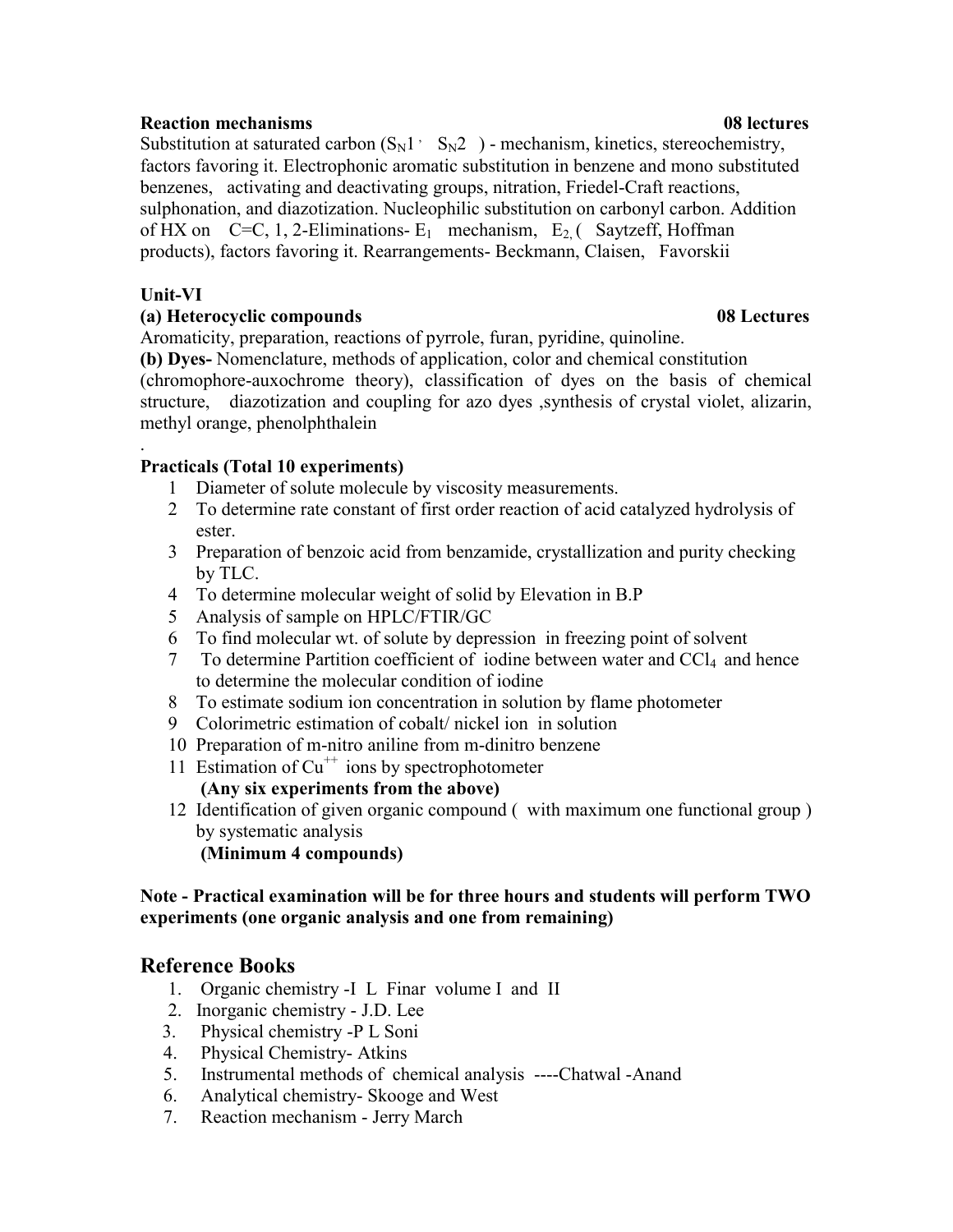# **Reaction mechanisms 08 lectures**

Substitution at saturated carbon  $(S_N1 \cdot S_N2)$  - mechanism, kinetics, stereochemistry, factors favoring it. Electrophonic aromatic substitution in benzene and mono substituted benzenes, activating and deactivating groups, nitration, Friedel-Craft reactions, sulphonation, and diazotization. Nucleophilic substitution on carbonyl carbon. Addition of HX on C=C, 1, 2-Eliminations-  $E_1$  mechanism,  $E_2$  (Saytzeff, Hoffman products), factors favoring it. Rearrangements- Beckmann, Claisen, Favorskii

# **Unit-VI**

# **(a) Heterocyclic compounds 08 Lectures**

Aromaticity, preparation, reactions of pyrrole, furan, pyridine, quinoline.

**(b) Dyes-** Nomenclature, methods of application, color and chemical constitution (chromophore-auxochrome theory), classification of dyes on the basis of chemical structure, diazotization and coupling for azo dyes ,synthesis of crystal violet, alizarin, methyl orange, phenolphthalein

# . **Practicals (Total 10 experiments)**

- 1 Diameter of solute molecule by viscosity measurements.
- 2 To determine rate constant of first order reaction of acid catalyzed hydrolysis of ester.
- 3 Preparation of benzoic acid from benzamide, crystallization and purity checking by TLC.
- 4 To determine molecular weight of solid by Elevation in B.P
- 5 Analysis of sample on HPLC/FTIR/GC
- 6 To find molecular wt. of solute by depression in freezing point of solvent
- 7 To determine Partition coefficient of iodine between water and CCl4 and hence to determine the molecular condition of iodine
- 8 To estimate sodium ion concentration in solution by flame photometer
- 9 Colorimetric estimation of cobalt/ nickel ion in solution
- 10 Preparation of m-nitro aniline from m-dinitro benzene
- 11 Estimation of  $Cu^{++}$  ions by spectrophotometer **(Any six experiments from the above)**
- 12 Identification of given organic compound ( with maximum one functional group ) by systematic analysis

**(Minimum 4 compounds)** 

# **Note - Practical examination will be for three hours and students will perform TWO experiments (one organic analysis and one from remaining)**

# **Reference Books**

- 1. Organic chemistry -I L Finar volume I and II
- 2. Inorganic chemistry J.D. Lee
- 3. Physical chemistry -P L Soni
- 4. Physical Chemistry- Atkins
- 5. Instrumental methods of chemical analysis ----Chatwal -Anand
- 6. Analytical chemistry- Skooge and West
- 7. Reaction mechanism Jerry March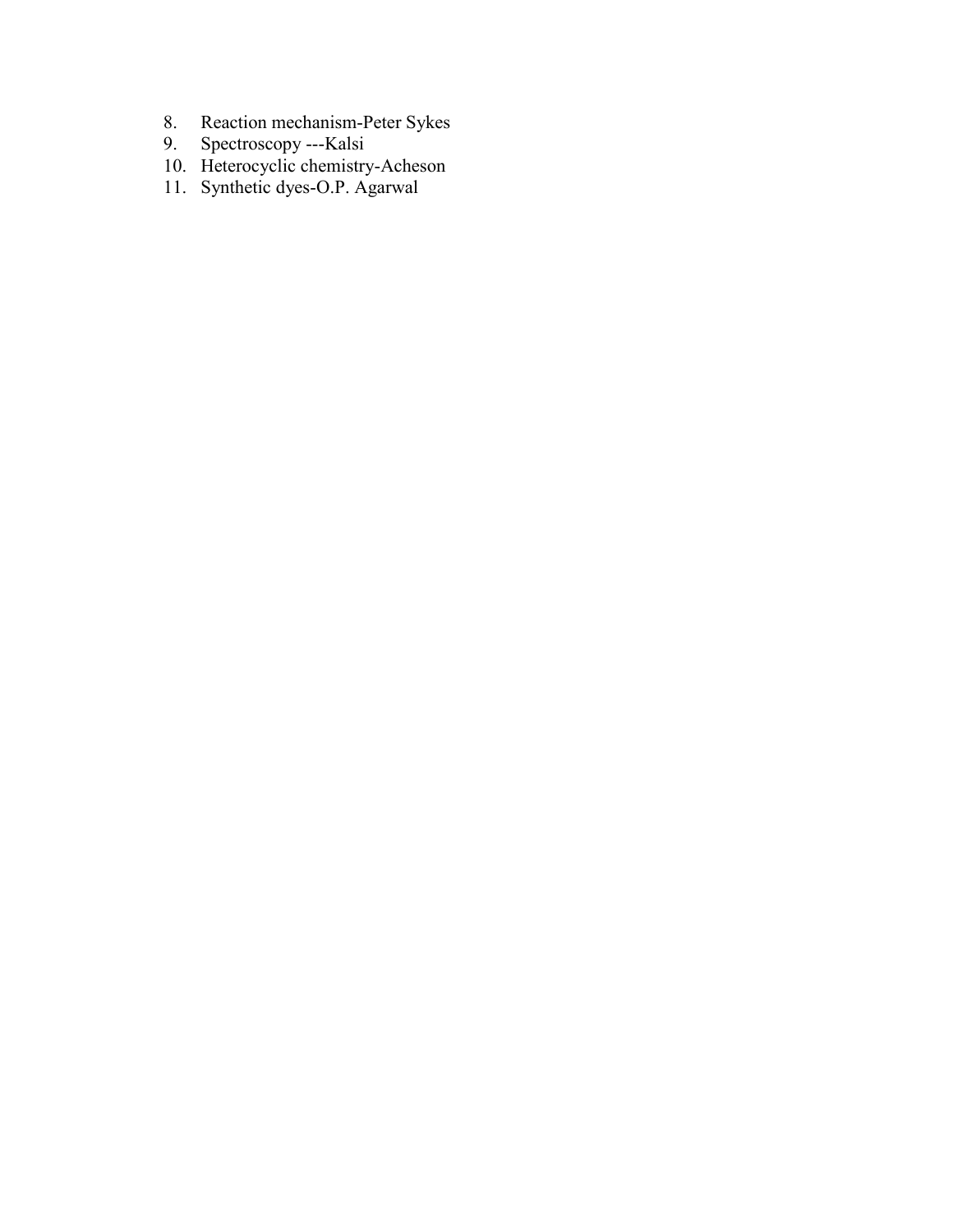- 8. Reaction mechanism-Peter Sykes
- 9. Spectroscopy ---Kalsi
	- 10. Heterocyclic chemistry-Acheson
- 11. Synthetic dyes-O.P. Agarwal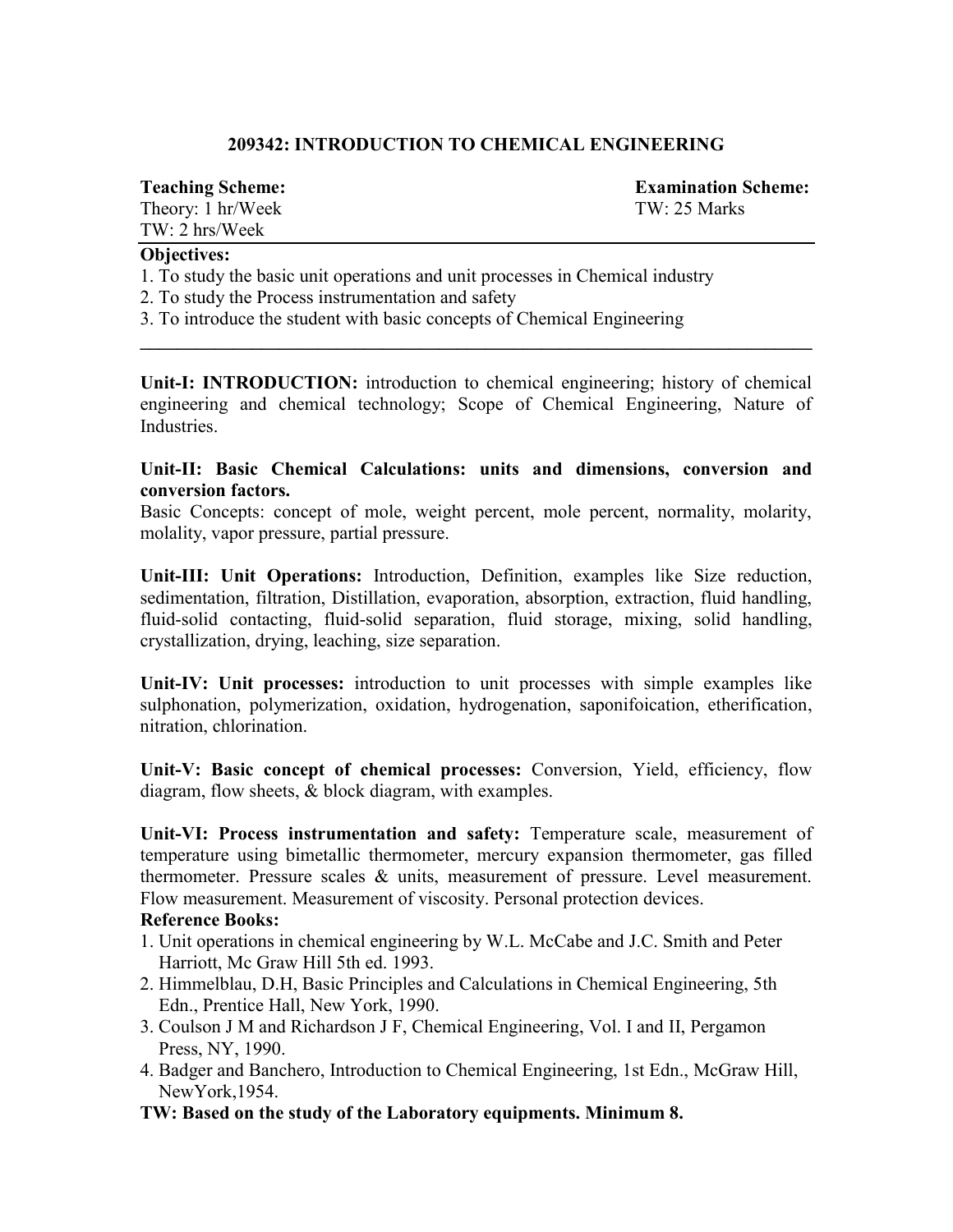# **209342: INTRODUCTION TO CHEMICAL ENGINEERING**

Theory: 1 hr/Week TW: 25 Marks TW: 2 hrs/Week

**Teaching Scheme: Examination Scheme:**

# **Objectives:**

- 1. To study the basic unit operations and unit processes in Chemical industry
- 2. To study the Process instrumentation and safety
- 3. To introduce the student with basic concepts of Chemical Engineering

**Unit-I: INTRODUCTION:** introduction to chemical engineering; history of chemical engineering and chemical technology; Scope of Chemical Engineering, Nature of **Industries** 

**\_\_\_\_\_\_\_\_\_\_\_\_\_\_\_\_\_\_\_\_\_\_\_\_\_\_\_\_\_\_\_\_\_\_\_\_\_\_\_\_\_\_\_\_\_\_\_\_\_\_\_\_\_\_\_\_\_\_\_\_\_\_\_\_\_\_\_\_\_\_\_\_**

**Unit-II: Basic Chemical Calculations: units and dimensions, conversion and conversion factors.** 

Basic Concepts: concept of mole, weight percent, mole percent, normality, molarity, molality, vapor pressure, partial pressure.

**Unit-III: Unit Operations:** Introduction, Definition, examples like Size reduction, sedimentation, filtration, Distillation, evaporation, absorption, extraction, fluid handling, fluid-solid contacting, fluid-solid separation, fluid storage, mixing, solid handling, crystallization, drying, leaching, size separation.

**Unit-IV: Unit processes:** introduction to unit processes with simple examples like sulphonation, polymerization, oxidation, hydrogenation, saponifoication, etherification, nitration, chlorination.

**Unit-V: Basic concept of chemical processes:** Conversion, Yield, efficiency, flow diagram, flow sheets, & block diagram, with examples.

**Unit-VI: Process instrumentation and safety:** Temperature scale, measurement of temperature using bimetallic thermometer, mercury expansion thermometer, gas filled thermometer. Pressure scales & units, measurement of pressure. Level measurement. Flow measurement. Measurement of viscosity. Personal protection devices.

# **Reference Books:**

- 1. Unit operations in chemical engineering by W.L. McCabe and J.C. Smith and Peter Harriott, Mc Graw Hill 5th ed. 1993.
- 2. Himmelblau, D.H, Basic Principles and Calculations in Chemical Engineering, 5th Edn., Prentice Hall, New York, 1990.
- 3. Coulson J M and Richardson J F, Chemical Engineering, Vol. I and II, Pergamon Press, NY, 1990.
- 4. Badger and Banchero, Introduction to Chemical Engineering, 1st Edn., McGraw Hill, NewYork,1954.
- **TW: Based on the study of the Laboratory equipments. Minimum 8.**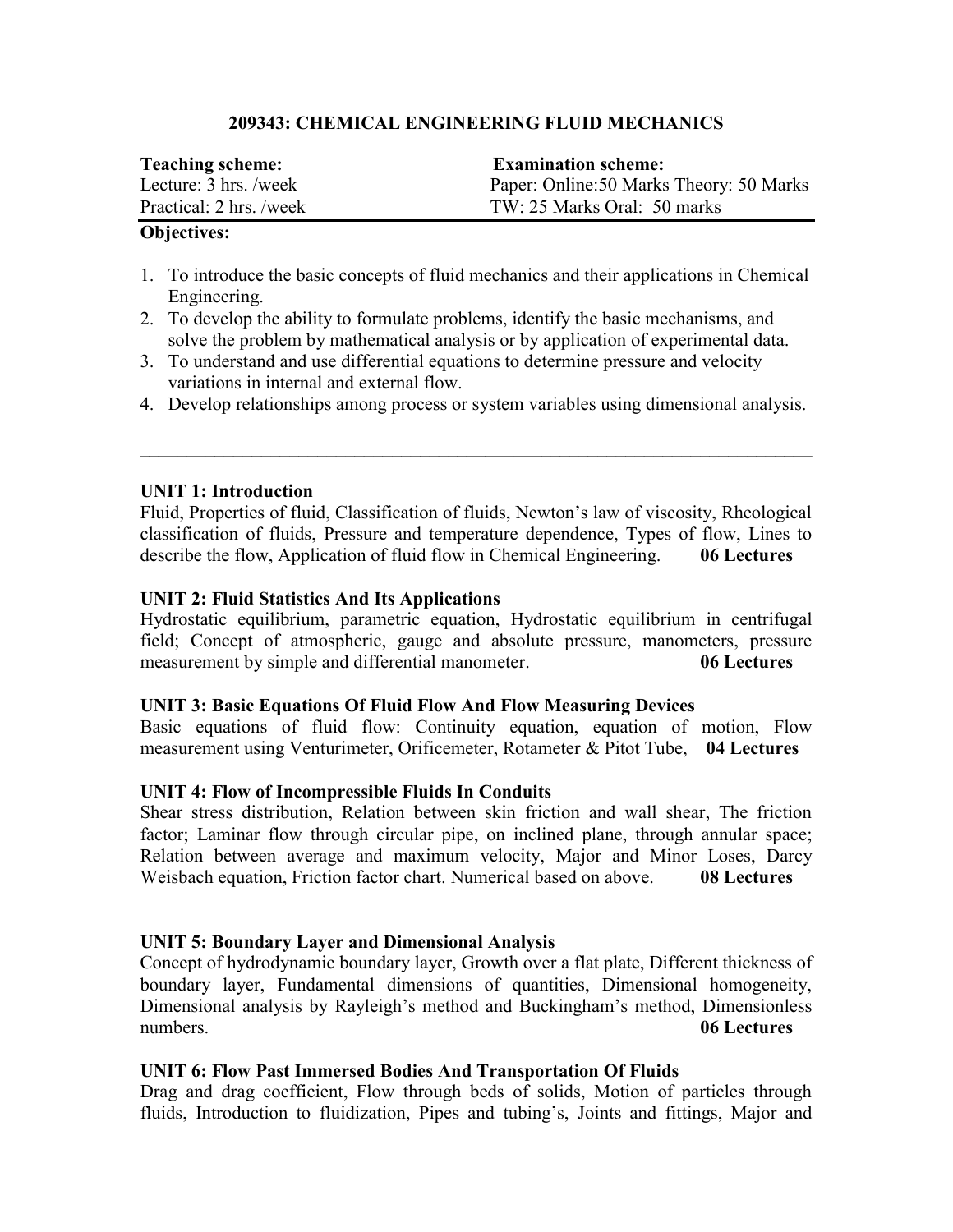# **209343: CHEMICAL ENGINEERING FLUID MECHANICS**

| <b>Teaching scheme:</b> | <b>Examination scheme:</b>               |
|-------------------------|------------------------------------------|
| Lecture: 3 hrs./week    | Paper: Online: 50 Marks Theory: 50 Marks |
| Practical: 2 hrs. /week | TW: 25 Marks Oral: 50 marks              |

# **Objectives:**

- 1. To introduce the basic concepts of fluid mechanics and their applications in Chemical Engineering.
- 2. To develop the ability to formulate problems, identify the basic mechanisms, and solve the problem by mathematical analysis or by application of experimental data.
- 3. To understand and use differential equations to determine pressure and velocity variations in internal and external flow.

4. Develop relationships among process or system variables using dimensional analysis.

**\_\_\_\_\_\_\_\_\_\_\_\_\_\_\_\_\_\_\_\_\_\_\_\_\_\_\_\_\_\_\_\_\_\_\_\_\_\_\_\_\_\_\_\_\_\_\_\_\_\_\_\_\_\_\_\_\_\_\_\_\_\_\_\_\_\_\_\_\_\_\_\_**

# **UNIT 1: Introduction**

Fluid, Properties of fluid, Classification of fluids, Newton's law of viscosity, Rheological classification of fluids, Pressure and temperature dependence, Types of flow, Lines to describe the flow, Application of fluid flow in Chemical Engineering. **06 Lectures**

# **UNIT 2: Fluid Statistics And Its Applications**

Hydrostatic equilibrium, parametric equation, Hydrostatic equilibrium in centrifugal field; Concept of atmospheric, gauge and absolute pressure, manometers, pressure measurement by simple and differential manometer. **06 Lectures**

# **UNIT 3: Basic Equations Of Fluid Flow And Flow Measuring Devices**

Basic equations of fluid flow: Continuity equation, equation of motion, Flow measurement using Venturimeter, Orificemeter, Rotameter & Pitot Tube, **04 Lectures**

# **UNIT 4: Flow of Incompressible Fluids In Conduits**

Shear stress distribution, Relation between skin friction and wall shear, The friction factor; Laminar flow through circular pipe, on inclined plane, through annular space; Relation between average and maximum velocity, Major and Minor Loses, Darcy Weisbach equation, Friction factor chart. Numerical based on above. **08 Lectures**

# **UNIT 5: Boundary Layer and Dimensional Analysis**

Concept of hydrodynamic boundary layer, Growth over a flat plate, Different thickness of boundary layer, Fundamental dimensions of quantities, Dimensional homogeneity, Dimensional analysis by Rayleigh's method and Buckingham's method, Dimensionless numbers. **06 Lectures**

# **UNIT 6: Flow Past Immersed Bodies And Transportation Of Fluids**

Drag and drag coefficient, Flow through beds of solids, Motion of particles through fluids, Introduction to fluidization, Pipes and tubing's, Joints and fittings, Major and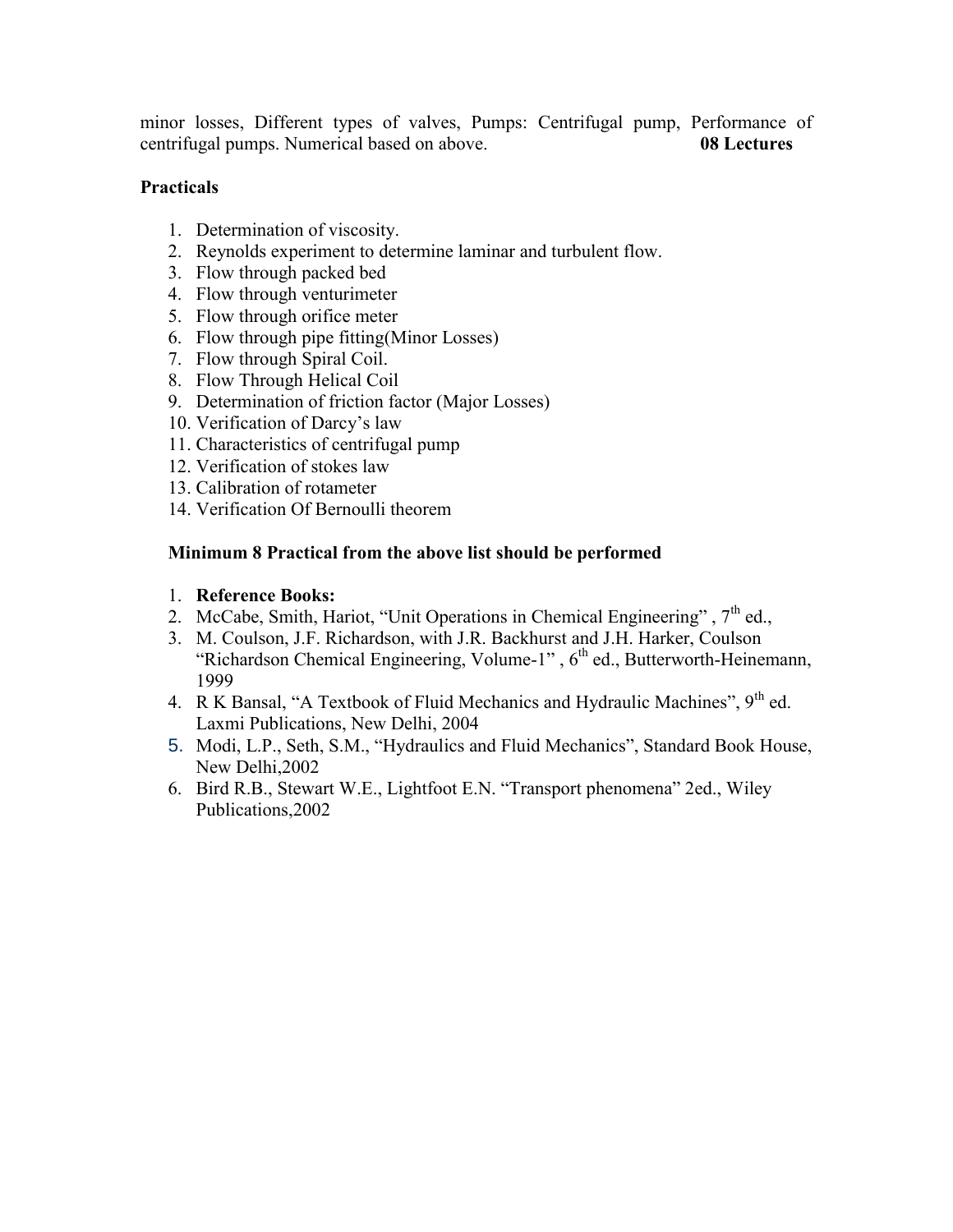minor losses, Different types of valves, Pumps: Centrifugal pump, Performance of centrifugal pumps. Numerical based on above. **08 Lectures**

# **Practicals**

- 1. Determination of viscosity.
- 2. Reynolds experiment to determine laminar and turbulent flow.
- 3. Flow through packed bed
- 4. Flow through venturimeter
- 5. Flow through orifice meter
- 6. Flow through pipe fitting(Minor Losses)
- 7. Flow through Spiral Coil.
- 8. Flow Through Helical Coil
- 9. Determination of friction factor (Major Losses)
- 10. Verification of Darcy's law
- 11. Characteristics of centrifugal pump
- 12. Verification of stokes law
- 13. Calibration of rotameter
- 14. Verification Of Bernoulli theorem

# **Minimum 8 Practical from the above list should be performed**

# 1. **Reference Books:**

- 2. McCabe, Smith, Hariot, "Unit Operations in Chemical Engineering", 7<sup>th</sup> ed.,
- 3. M. Coulson, J.F. Richardson, with J.R. Backhurst and J.H. Harker, Coulson "Richardson Chemical Engineering, Volume-1",  $6<sup>th</sup>$  ed., Butterworth-Heinemann, 1999
- 4. R K Bansal, "A Textbook of Fluid Mechanics and Hydraulic Machines", 9<sup>th</sup> ed. Laxmi Publications, New Delhi, 2004
- 5. Modi, L.P., Seth, S.M., "Hydraulics and Fluid Mechanics", Standard Book House, New Delhi,2002
- 6. Bird R.B., Stewart W.E., Lightfoot E.N. "Transport phenomena" 2ed., Wiley Publications,2002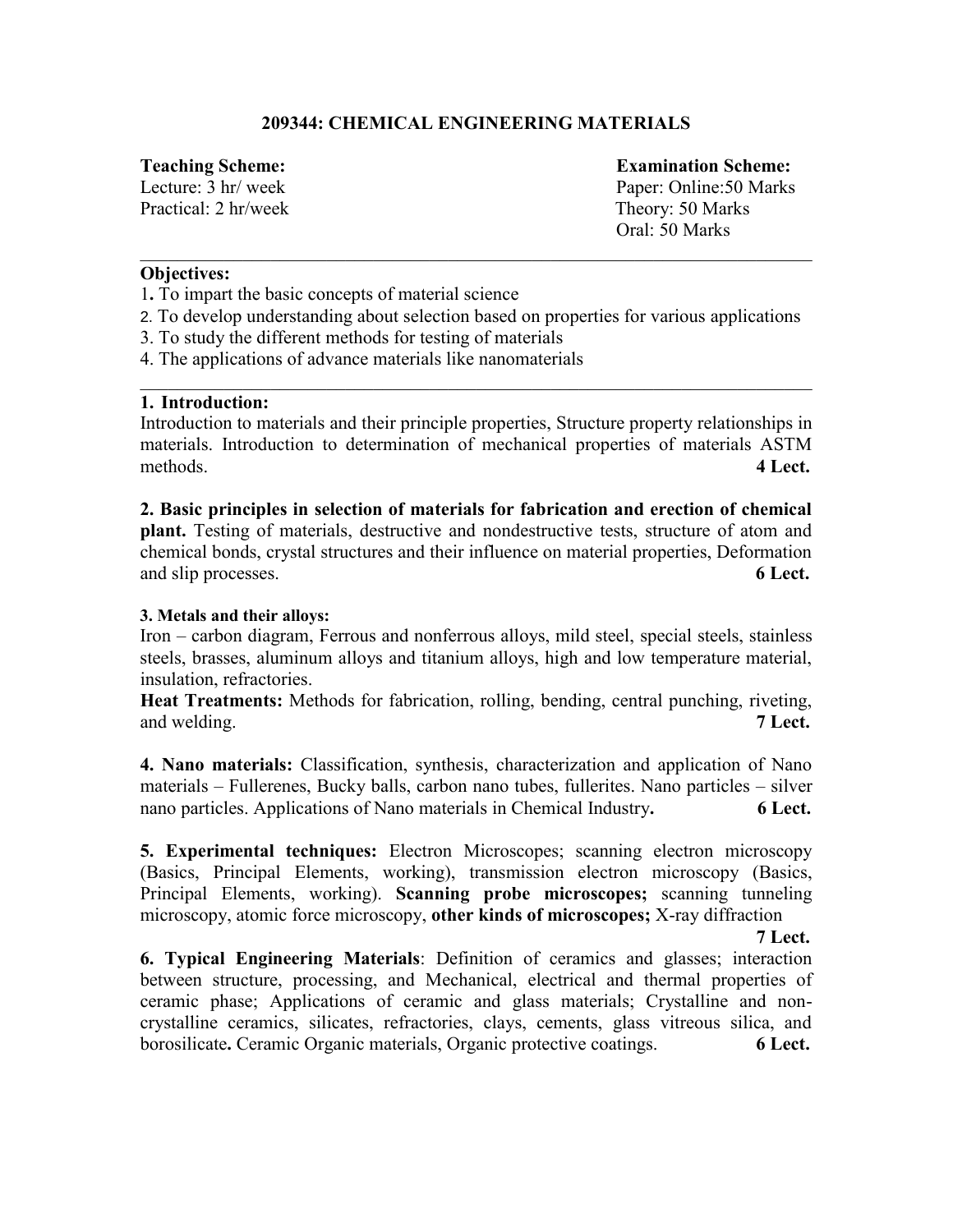# **209344: CHEMICAL ENGINEERING MATERIALS**

Practical: 2 hr/week Theory: 50 Marks

**Teaching Scheme: Examination Scheme:**  Lecture: 3 hr/ week Paper: Online: 50 Marks Oral: 50 Marks

# **Objectives:**

1**.** To impart the basic concepts of material science

2. To develop understanding about selection based on properties for various applications

 $\_$ 

- 3. To study the different methods for testing of materials
- 4. The applications of advance materials like nanomaterials

# **1. Introduction:**

Introduction to materials and their principle properties, Structure property relationships in materials. Introduction to determination of mechanical properties of materials ASTM methods. **4 Lect.**

\_\_\_\_\_\_\_\_\_\_\_\_\_\_\_\_\_\_\_\_\_\_\_\_\_\_\_\_\_\_\_\_\_\_\_\_\_\_\_\_\_\_\_\_\_\_\_\_\_\_\_\_\_\_\_\_\_\_\_\_\_\_\_\_\_\_\_\_\_\_\_\_

**2. Basic principles in selection of materials for fabrication and erection of chemical plant.** Testing of materials, destructive and nondestructive tests, structure of atom and chemical bonds, crystal structures and their influence on material properties, Deformation and slip processes. **6 Lect.** 

# **3. Metals and their alloys:**

Iron – carbon diagram, Ferrous and nonferrous alloys, mild steel, special steels, stainless steels, brasses, aluminum alloys and titanium alloys, high and low temperature material, insulation, refractories.

**Heat Treatments:** Methods for fabrication, rolling, bending, central punching, riveting, and welding. **7** Lect.

**4. Nano materials:** Classification, synthesis, characterization and application of Nano materials – Fullerenes, Bucky balls, carbon nano tubes, fullerites. Nano particles – silver nano particles. Applications of Nano materials in Chemical Industry**. 6 Lect.** 

**5. Experimental techniques:** Electron Microscopes; scanning electron microscopy (Basics, Principal Elements, working), transmission electron microscopy (Basics, Principal Elements, working). **Scanning probe microscopes;** scanning tunneling microscopy, atomic force microscopy, **other kinds of microscopes;** X-ray diffraction

**7 Lect.** 

**6. Typical Engineering Materials**: Definition of ceramics and glasses; interaction between structure, processing, and Mechanical, electrical and thermal properties of ceramic phase; Applications of ceramic and glass materials; Crystalline and noncrystalline ceramics, silicates, refractories, clays, cements, glass vitreous silica, and borosilicate**.** Ceramic Organic materials, Organic protective coatings. **6 Lect.**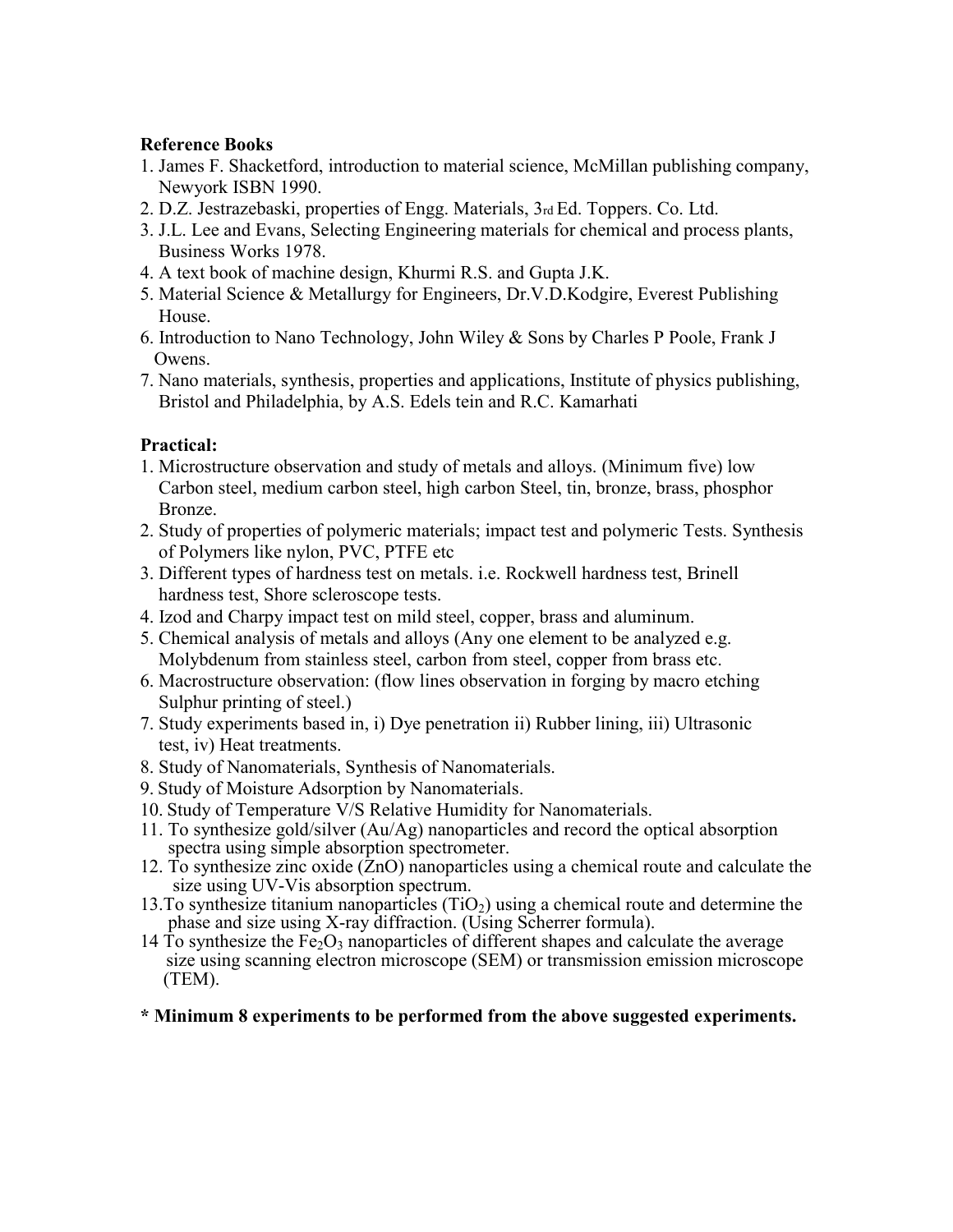# **Reference Books**

- 1. James F. Shacketford, introduction to material science, McMillan publishing company, Newyork ISBN 1990.
- 2. D.Z. Jestrazebaski, properties of Engg. Materials, 3rd Ed. Toppers. Co. Ltd.
- 3. J.L. Lee and Evans, Selecting Engineering materials for chemical and process plants, Business Works 1978.
- 4. A text book of machine design, Khurmi R.S. and Gupta J.K.
- 5. Material Science & Metallurgy for Engineers, Dr.V.D.Kodgire, Everest Publishing House.
- 6. Introduction to Nano Technology, John Wiley & Sons by Charles P Poole, Frank J Owens.
- 7. Nano materials, synthesis, properties and applications, Institute of physics publishing, Bristol and Philadelphia, by A.S. Edels tein and R.C. Kamarhati

# **Practical:**

- 1. Microstructure observation and study of metals and alloys. (Minimum five) low Carbon steel, medium carbon steel, high carbon Steel, tin, bronze, brass, phosphor Bronze.
- 2. Study of properties of polymeric materials; impact test and polymeric Tests. Synthesis of Polymers like nylon, PVC, PTFE etc
- 3. Different types of hardness test on metals. i.e. Rockwell hardness test, Brinell hardness test, Shore scleroscope tests.
- 4. Izod and Charpy impact test on mild steel, copper, brass and aluminum.
- 5. Chemical analysis of metals and alloys (Any one element to be analyzed e.g. Molybdenum from stainless steel, carbon from steel, copper from brass etc.
- 6. Macrostructure observation: (flow lines observation in forging by macro etching Sulphur printing of steel.)
- 7. Study experiments based in, i) Dye penetration ii) Rubber lining, iii) Ultrasonic test, iv) Heat treatments.
- 8. Study of Nanomaterials, Synthesis of Nanomaterials.
- 9. Study of Moisture Adsorption by Nanomaterials.
- 10. Study of Temperature V/S Relative Humidity for Nanomaterials.
- 11. To synthesize gold/silver (Au/Ag) nanoparticles and record the optical absorption spectra using simple absorption spectrometer.
- 12. To synthesize zinc oxide  $(2nO)$  nanoparticles using a chemical route and calculate the size using UV-Vis absorption spectrum.
- 13. To synthesize titanium nanoparticles  $(TiO<sub>2</sub>)$  using a chemical route and determine the phase and size using X-ray diffraction. (Using Scherrer formula).
- 14 To synthesize the  $Fe<sub>2</sub>O<sub>3</sub>$  nanoparticles of different shapes and calculate the average size using scanning electron microscope (SEM) or transmission emission microscope (TEM).

# **\* Minimum 8 experiments to be performed from the above suggested experiments.**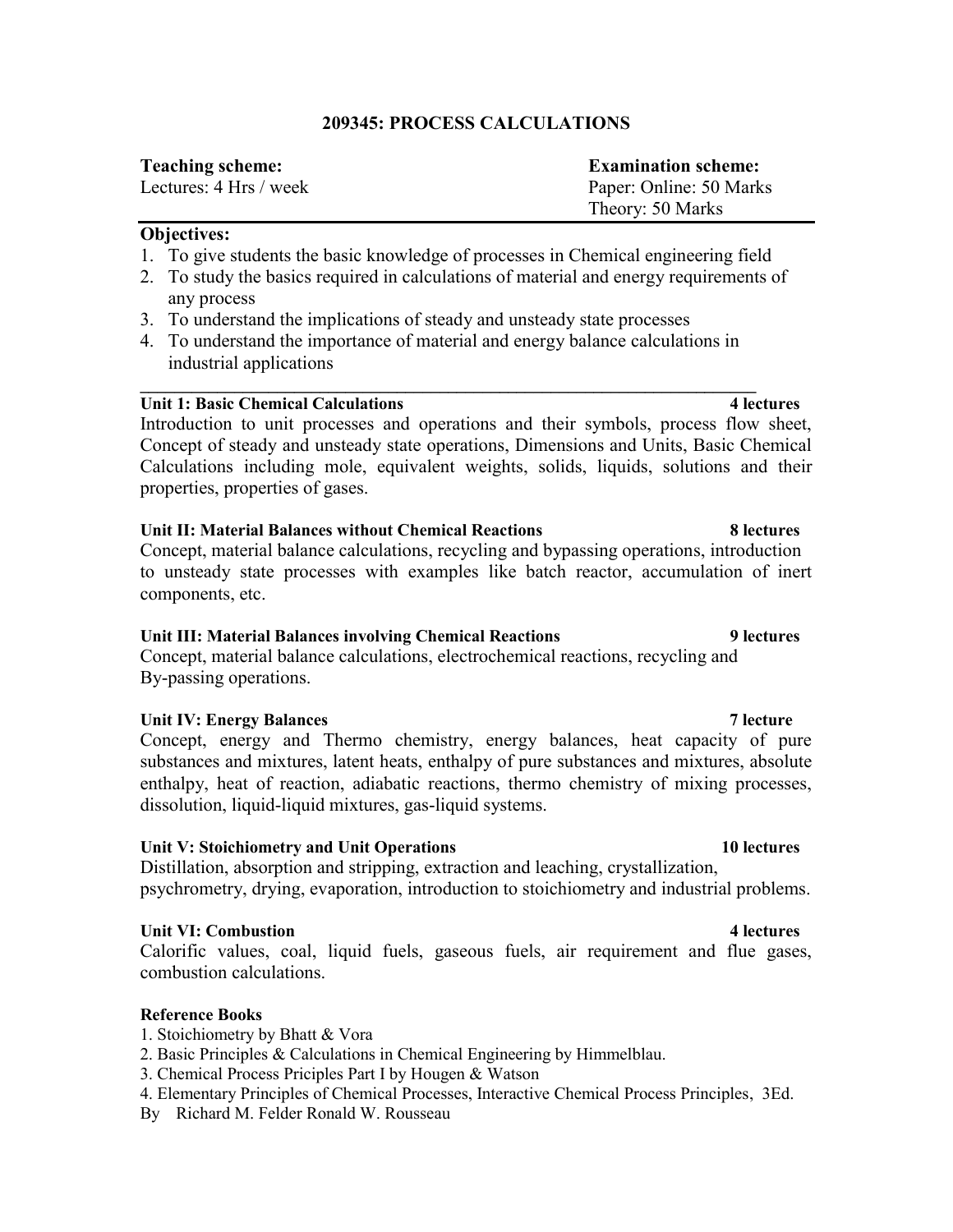# **209345: PROCESS CALCULATIONS**

| <b>Teaching scheme:</b> | <b>Examination scheme:</b> |
|-------------------------|----------------------------|
| Lectures: 4 Hrs / week  | Paper: Online: 50 Marks    |
|                         | Theory: 50 Marks           |

### **Objectives:**

- 1. To give students the basic knowledge of processes in Chemical engineering field
- 2. To study the basics required in calculations of material and energy requirements of any process
- 3. To understand the implications of steady and unsteady state processes
- 4. To understand the importance of material and energy balance calculations in industrial applications

**\_\_\_\_\_\_\_\_\_\_\_\_\_\_\_\_\_\_\_\_\_\_\_\_\_\_\_\_\_\_\_\_\_\_\_\_\_\_\_\_\_\_\_\_\_\_\_\_\_\_\_\_\_\_\_\_\_\_\_\_\_\_\_\_\_\_\_\_\_\_\_\_** 

# **Unit 1: Basic Chemical Calculations 4 lectures**

Introduction to unit processes and operations and their symbols, process flow sheet, Concept of steady and unsteady state operations, Dimensions and Units, Basic Chemical Calculations including mole, equivalent weights, solids, liquids, solutions and their properties, properties of gases.

# **Unit II: Material Balances without Chemical Reactions 8 lectures**

Concept, material balance calculations, recycling and bypassing operations, introduction to unsteady state processes with examples like batch reactor, accumulation of inert components, etc.

### **Unit III: Material Balances involving Chemical Reactions 9 lectures**

Concept, material balance calculations, electrochemical reactions, recycling and By-passing operations.

# Unit IV: Energy Balances **7 lecture** 7 lecture

Concept, energy and Thermo chemistry, energy balances, heat capacity of pure substances and mixtures, latent heats, enthalpy of pure substances and mixtures, absolute enthalpy, heat of reaction, adiabatic reactions, thermo chemistry of mixing processes, dissolution, liquid-liquid mixtures, gas-liquid systems.

# **Unit V: Stoichiometry and Unit Operations 10 lectures**

Distillation, absorption and stripping, extraction and leaching, crystallization, psychrometry, drying, evaporation, introduction to stoichiometry and industrial problems.

### **Unit VI: Combustion 4 lectures**

Calorific values, coal, liquid fuels, gaseous fuels, air requirement and flue gases, combustion calculations.

### **Reference Books**

- 1. Stoichiometry by Bhatt & Vora
- 2. Basic Principles & Calculations in Chemical Engineering by Himmelblau.
- 3. Chemical Process Priciples Part I by Hougen & Watson
- 4. Elementary Principles of Chemical Processes, Interactive Chemical Process Principles, 3Ed.
- By Richard M. Felder Ronald W. Rousseau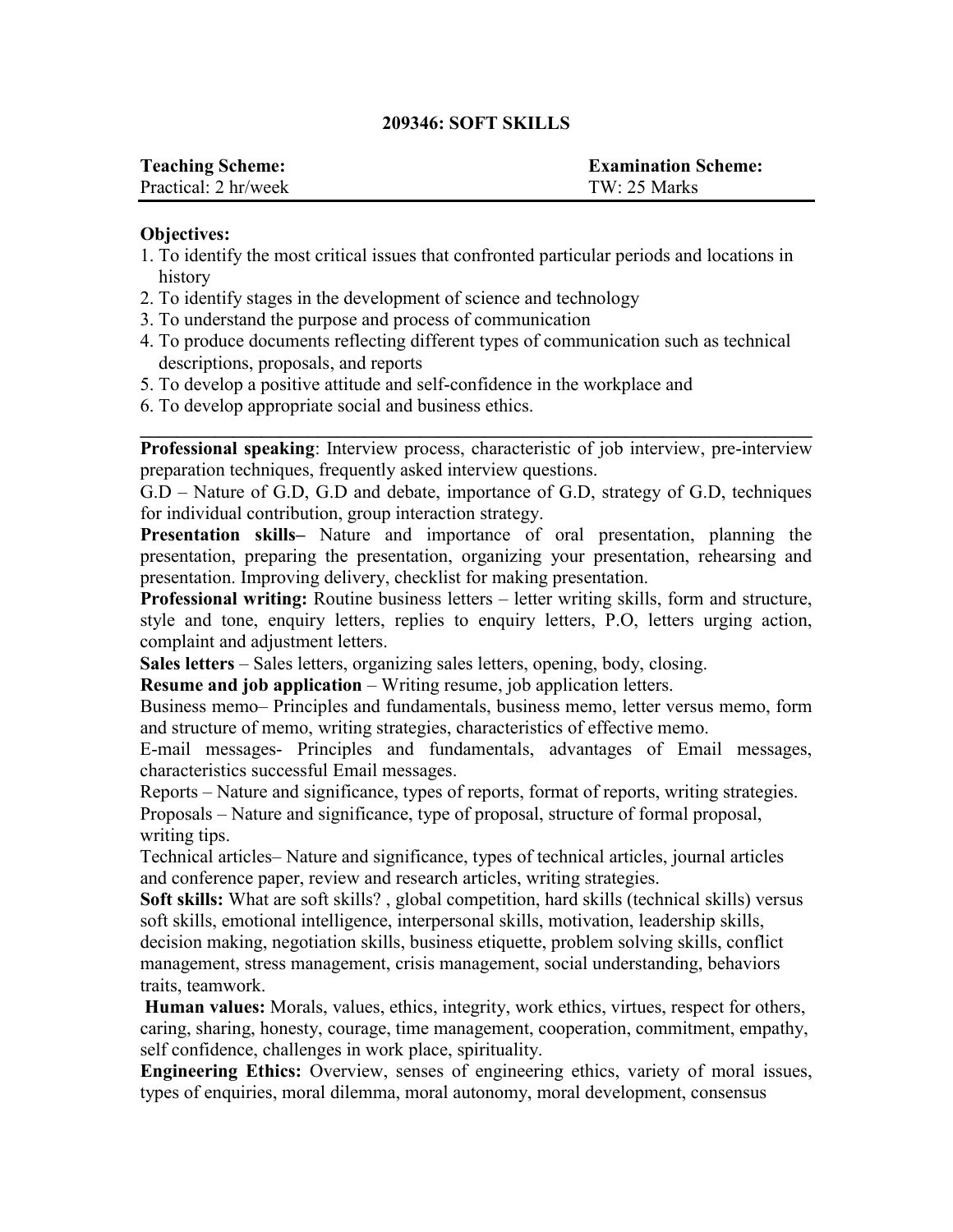# **209346: SOFT SKILLS**

| <b>Teaching Scheme:</b> | <b>Examination Scheme:</b> |
|-------------------------|----------------------------|
| Practical: 2 hr/week    | $TW: 25$ Marks             |

### **Objectives:**

- 1. To identify the most critical issues that confronted particular periods and locations in history
- 2. To identify stages in the development of science and technology
- 3. To understand the purpose and process of communication
- 4. To produce documents reflecting different types of communication such as technical descriptions, proposals, and reports
- 5. To develop a positive attitude and self-confidence in the workplace and
- 6. To develop appropriate social and business ethics.

**\_\_\_\_\_\_\_\_\_\_\_\_\_\_\_\_\_\_\_\_\_\_\_\_\_\_\_\_\_\_\_\_\_\_\_\_\_\_\_\_\_\_\_\_\_\_\_\_\_\_\_\_\_\_\_\_\_\_\_\_\_\_\_\_\_\_\_\_\_\_\_\_ Professional speaking**: Interview process, characteristic of job interview, pre-interview preparation techniques, frequently asked interview questions.

G.D – Nature of G.D, G.D and debate, importance of G.D, strategy of G.D, techniques for individual contribution, group interaction strategy.

**Presentation skills–** Nature and importance of oral presentation, planning the presentation, preparing the presentation, organizing your presentation, rehearsing and presentation. Improving delivery, checklist for making presentation.

**Professional writing:** Routine business letters – letter writing skills, form and structure, style and tone, enquiry letters, replies to enquiry letters, P.O, letters urging action, complaint and adjustment letters.

**Sales letters** – Sales letters, organizing sales letters, opening, body, closing.

**Resume and job application** – Writing resume, job application letters.

Business memo– Principles and fundamentals, business memo, letter versus memo, form and structure of memo, writing strategies, characteristics of effective memo.

E-mail messages- Principles and fundamentals, advantages of Email messages, characteristics successful Email messages.

Reports – Nature and significance, types of reports, format of reports, writing strategies. Proposals – Nature and significance, type of proposal, structure of formal proposal, writing tips.

Technical articles– Nature and significance, types of technical articles, journal articles and conference paper, review and research articles, writing strategies.

**Soft skills:** What are soft skills? , global competition, hard skills (technical skills) versus soft skills, emotional intelligence, interpersonal skills, motivation, leadership skills, decision making, negotiation skills, business etiquette, problem solving skills, conflict management, stress management, crisis management, social understanding, behaviors traits, teamwork.

**Human values:** Morals, values, ethics, integrity, work ethics, virtues, respect for others, caring, sharing, honesty, courage, time management, cooperation, commitment, empathy, self confidence, challenges in work place, spirituality.

**Engineering Ethics:** Overview, senses of engineering ethics, variety of moral issues, types of enquiries, moral dilemma, moral autonomy, moral development, consensus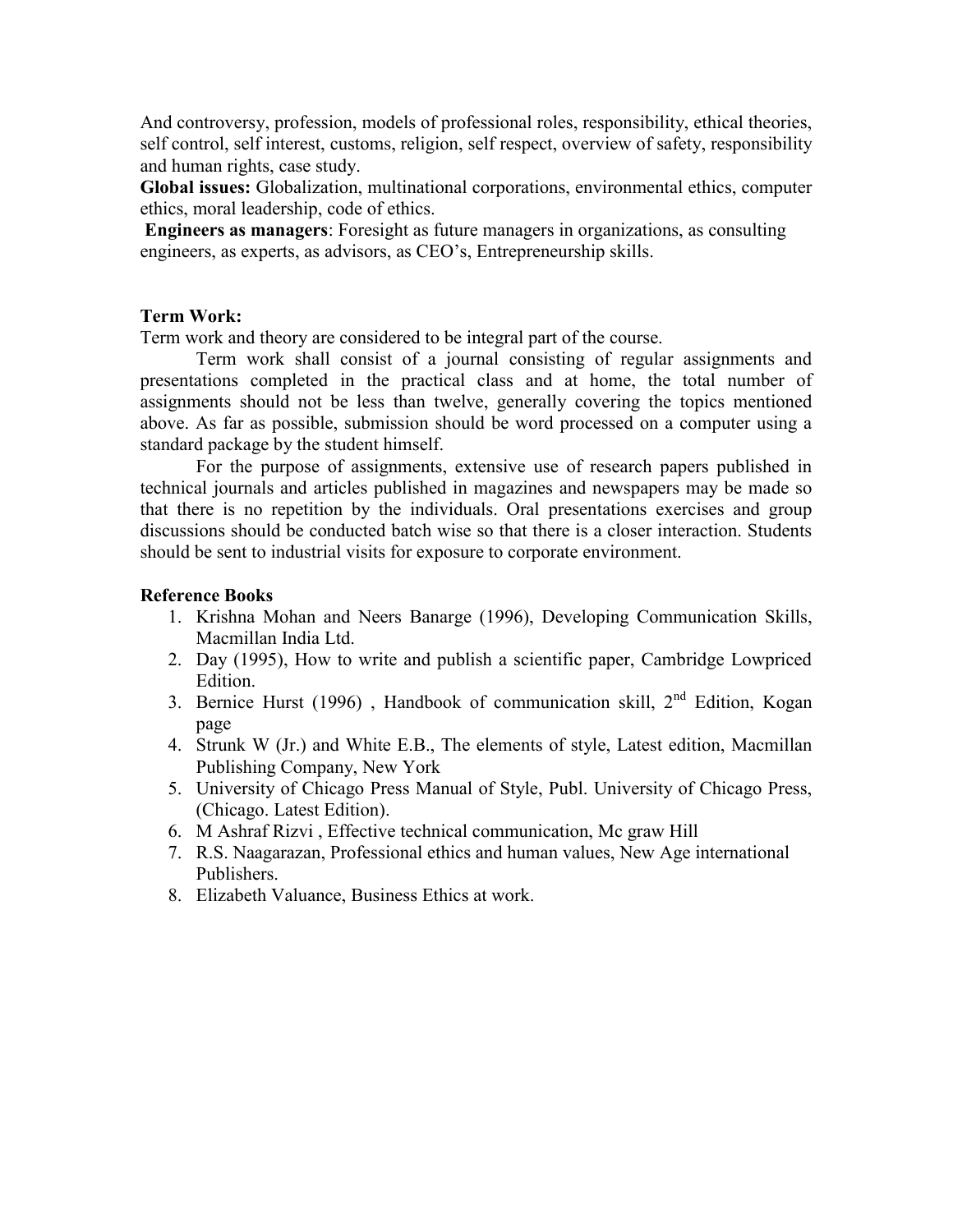And controversy, profession, models of professional roles, responsibility, ethical theories, self control, self interest, customs, religion, self respect, overview of safety, responsibility and human rights, case study.

**Global issues:** Globalization, multinational corporations, environmental ethics, computer ethics, moral leadership, code of ethics.

**Engineers as managers**: Foresight as future managers in organizations, as consulting engineers, as experts, as advisors, as CEO's, Entrepreneurship skills.

# **Term Work:**

Term work and theory are considered to be integral part of the course.

Term work shall consist of a journal consisting of regular assignments and presentations completed in the practical class and at home, the total number of assignments should not be less than twelve, generally covering the topics mentioned above. As far as possible, submission should be word processed on a computer using a standard package by the student himself.

For the purpose of assignments, extensive use of research papers published in technical journals and articles published in magazines and newspapers may be made so that there is no repetition by the individuals. Oral presentations exercises and group discussions should be conducted batch wise so that there is a closer interaction. Students should be sent to industrial visits for exposure to corporate environment.

# **Reference Books**

- 1. Krishna Mohan and Neers Banarge (1996), Developing Communication Skills, Macmillan India Ltd.
- 2. Day (1995), How to write and publish a scientific paper, Cambridge Lowpriced Edition.
- 3. Bernice Hurst (1996), Handbook of communication skill,  $2<sup>nd</sup>$  Edition, Kogan page
- 4. Strunk W (Jr.) and White E.B., The elements of style, Latest edition, Macmillan Publishing Company, New York
- 5. University of Chicago Press Manual of Style, Publ. University of Chicago Press, (Chicago. Latest Edition).
- 6. M Ashraf Rizvi , Effective technical communication, Mc graw Hill
- 7. R.S. Naagarazan, Professional ethics and human values, New Age international Publishers.
- 8. Elizabeth Valuance, Business Ethics at work.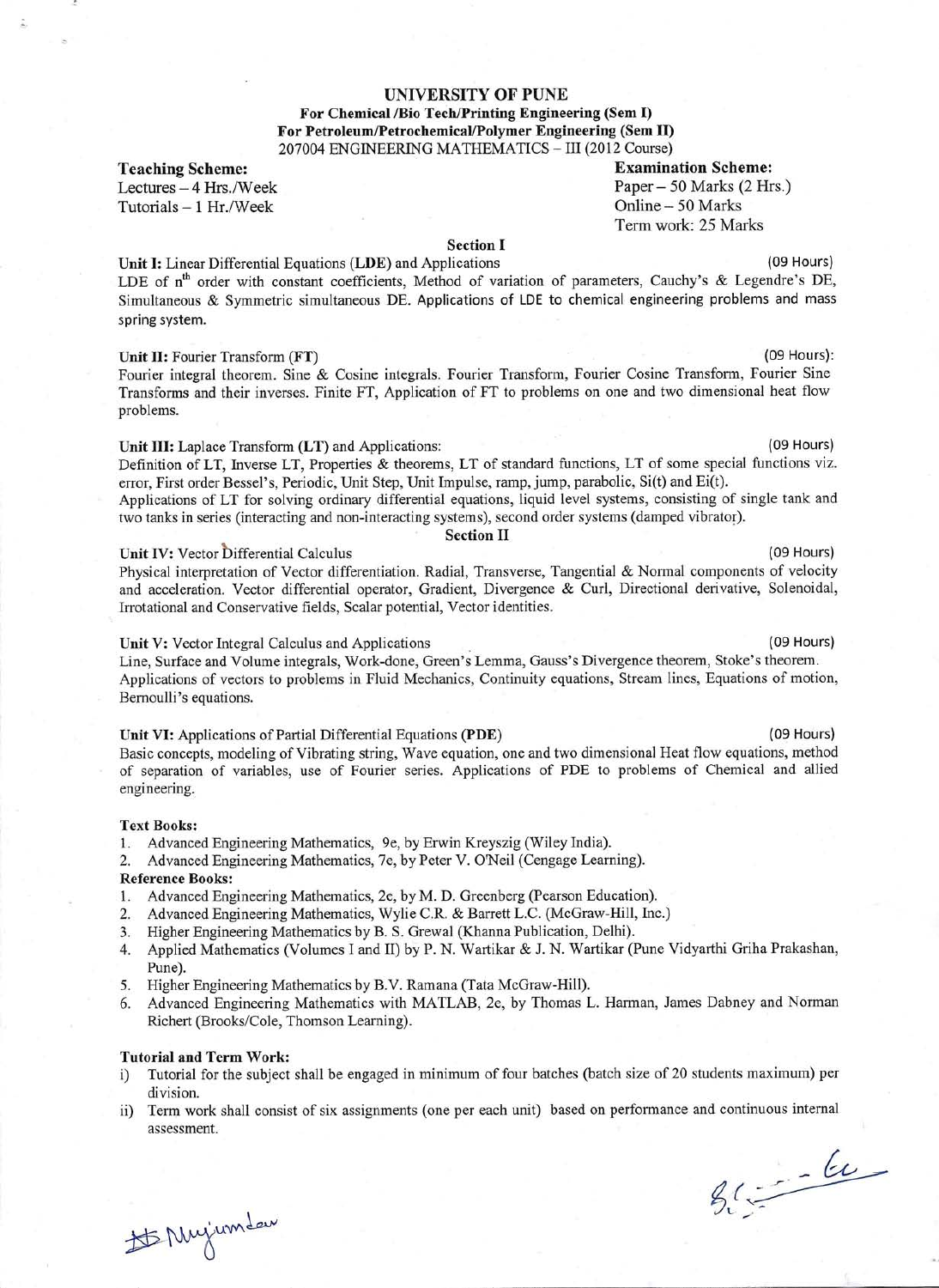#### UNIVERSITY OF PUNE

#### For Chemical /Bio Tech/Printing Engineering (Sem I) For Petroleum/Petrochemical/Polymer Engineering (Sem II) 207004 ENGINEERING MATHEMATICS - III (2012 Course)

**Teaching Scheme:** 

Lectures - 4 Hrs./Week Tutorials  $-1$  Hr./Week

**Section I** 

Unit I: Linear Differential Equations (LDE) and Applications (09 Hours) LDE of n<sup>th</sup> order with constant coefficients, Method of variation of parameters, Cauchy's & Legendre's DE, Simultaneous & Symmetric simultaneous DE. Applications of LDE to chemical engineering problems and mass spring system.

#### Unit II: Fourier Transform (FT)

Fourier integral theorem. Sine & Cosine integrals. Fourier Transform, Fourier Cosine Transform, Fourier Sine Transforms and their inverses. Finite FT, Application of FT to problems on one and two dimensional heat flow problems.

#### Unit III: Laplace Transform (LT) and Applications:

Definition of LT, Inverse LT, Properties & theorems, LT of standard functions, LT of some special functions viz. error, First order Bessel's, Periodic, Unit Step, Unit Impulse, ramp, jump, parabolic, Si(t) and Ei(t). Applications of LT for solving ordinary differential equations, liquid level systems, consisting of single tank and

two tanks in series (interacting and non-interacting systems), second order systems (damped vibrator). **Section II** 

#### Unit IV: Vector Differential Calculus

Physical interpretation of Vector differentiation. Radial, Transverse, Tangential & Normal components of velocity and acceleration. Vector differential operator, Gradient, Divergence & Curl, Directional derivative, Solenoidal, Irrotational and Conservative fields, Scalar potential, Vector identities.

#### Unit V: Vector Integral Calculus and Applications

Line, Surface and Volume integrals, Work-done, Green's Lemma, Gauss's Divergence theorem, Stoke's theorem. Applications of vectors to problems in Fluid Mechanics, Continuity equations, Stream lines, Equations of motion, Bernoulli's equations.

#### Unit VI: Applications of Partial Differential Equations (PDE)

Basic concepts, modeling of Vibrating string, Wave equation, one and two dimensional Heat flow equations, method of separation of variables, use of Fourier series. Applications of PDE to problems of Chemical and allied engineering.

#### **Text Books:**

- 1. Advanced Engineering Mathematics, 9e, by Erwin Kreyszig (Wiley India).
- Advanced Engineering Mathematics, 7e, by Peter V. O'Neil (Cengage Learning). 2.

#### **Reference Books:**

- 1. Advanced Engineering Mathematics, 2e, by M. D. Greenberg (Pearson Education).
- $2.$ Advanced Engineering Mathematics, Wylie C.R. & Barrett L.C. (McGraw-Hill, Inc.)
- $3.$ Higher Engineering Mathematics by B. S. Grewal (Khanna Publication, Delhi).
- Applied Mathematics (Volumes I and II) by P. N. Wartikar & J. N. Wartikar (Pune Vidyarthi Griha Prakashan,  $4.$ Pune).
- Higher Engineering Mathematics by B.V. Ramana (Tata McGraw-Hill). 5.
- Advanced Engineering Mathematics with MATLAB, 2e, by Thomas L. Harman, James Dabney and Norman 6. Richert (Brooks/Cole, Thomson Learning).

#### **Tutorial and Term Work:**

- Tutorial for the subject shall be engaged in minimum of four batches (batch size of 20 students maximum) per  $i)$ division.
- Term work shall consist of six assignments (one per each unit) based on performance and continuous internal  $\overline{ii}$ ) assessment.

 $56 - 60$ 

# Mujumdaw

**Examination Scheme:** Paper – 50 Marks (2 Hrs.) Online - 50 Marks Term work: 25 Marks

(09 Hours)

(09 Hours):

(09 Hours)

(09 Hours)

(09 Hours)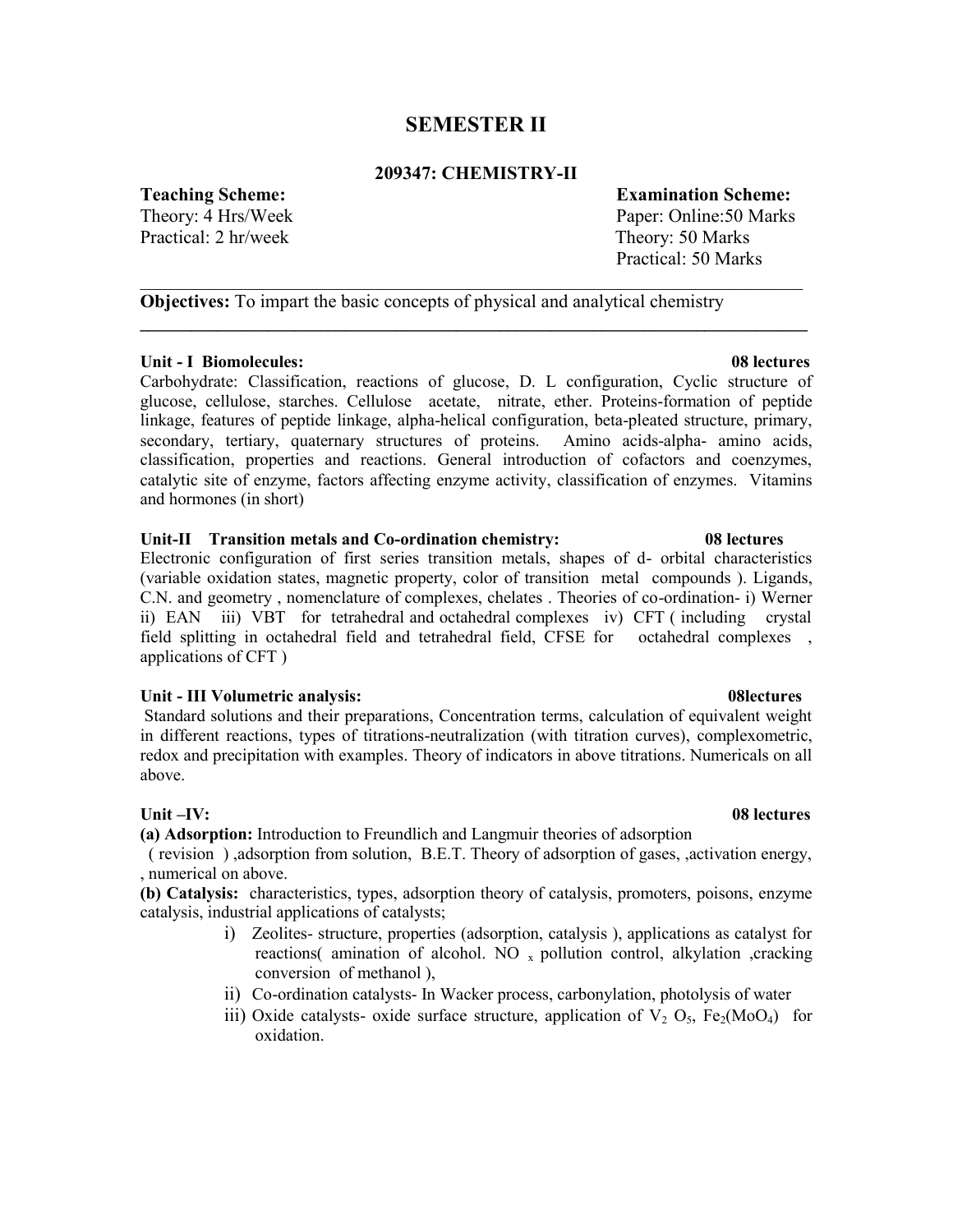# **SEMESTER II**

### **209347: CHEMISTRY-II**

\_\_\_\_\_\_\_\_\_\_\_\_\_\_\_\_\_\_\_\_\_\_\_\_\_\_\_\_\_\_\_\_\_\_\_\_\_\_\_\_\_\_\_\_\_\_\_\_\_\_\_\_\_\_\_\_\_\_\_\_\_\_\_\_\_\_\_\_\_\_\_

**\_\_\_\_\_\_\_\_\_\_\_\_\_\_\_\_\_\_\_\_\_\_\_\_\_\_\_\_\_\_\_\_\_\_\_\_\_\_\_\_\_\_\_\_\_\_\_\_\_\_\_\_\_\_\_\_\_\_\_\_\_\_\_\_\_\_\_\_\_\_\_\_\_\_\_\_\_\_** 

**Teaching Scheme: Examination Scheme:**

Practical: 2 hr/week Theory: 50 Marks

# Theory: 4 Hrs/Week Paper: Online: 50 Marks

Practical: 50 Marks

**Objectives:** To impart the basic concepts of physical and analytical chemistry

### **Unit - I Biomolecules: 08 lectures**

Carbohydrate: Classification, reactions of glucose, D. L configuration, Cyclic structure of glucose, cellulose, starches. Cellulose acetate, nitrate, ether. Proteins-formation of peptide linkage, features of peptide linkage, alpha-helical configuration, beta-pleated structure, primary, secondary, tertiary, quaternary structures of proteins. Amino acids-alpha- amino acids, classification, properties and reactions. General introduction of cofactors and coenzymes, catalytic site of enzyme, factors affecting enzyme activity, classification of enzymes. Vitamins and hormones (in short)

#### **Unit-II Transition metals and Co-ordination chemistry: 08 lectures**

Electronic configuration of first series transition metals, shapes of d- orbital characteristics (variable oxidation states, magnetic property, color of transition metal compounds ). Ligands, C.N. and geometry , nomenclature of complexes, chelates . Theories of co-ordination- i) Werner ii) EAN iii) VBT for tetrahedral and octahedral complexes iv) CFT ( including crystal field splitting in octahedral field and tetrahedral field, CFSE for octahedral complexes , applications of CFT )

### **Unit - III Volumetric analysis: 08lectures**

Standard solutions and their preparations, Concentration terms, calculation of equivalent weight in different reactions, types of titrations-neutralization (with titration curves), complexometric, redox and precipitation with examples. Theory of indicators in above titrations. Numericals on all above.

### Unit –IV: 08 lectures

**(a) Adsorption:** Introduction to Freundlich and Langmuir theories of adsorption

 ( revision ) ,adsorption from solution, B.E.T. Theory of adsorption of gases, ,activation energy, , numerical on above.

**(b) Catalysis:** characteristics, types, adsorption theory of catalysis, promoters, poisons, enzyme catalysis, industrial applications of catalysts;

- i) Zeolites- structure, properties (adsorption, catalysis ), applications as catalyst for reactions( amination of alcohol. NO  $<sub>x</sub>$  pollution control, alkylation ,cracking</sub> conversion of methanol ),
- ii) Co-ordination catalysts- In Wacker process, carbonylation, photolysis of water
- iii) Oxide catalysts- oxide surface structure, application of  $V_2$  O<sub>5</sub>, Fe<sub>2</sub>(MoO<sub>4</sub>) for oxidation.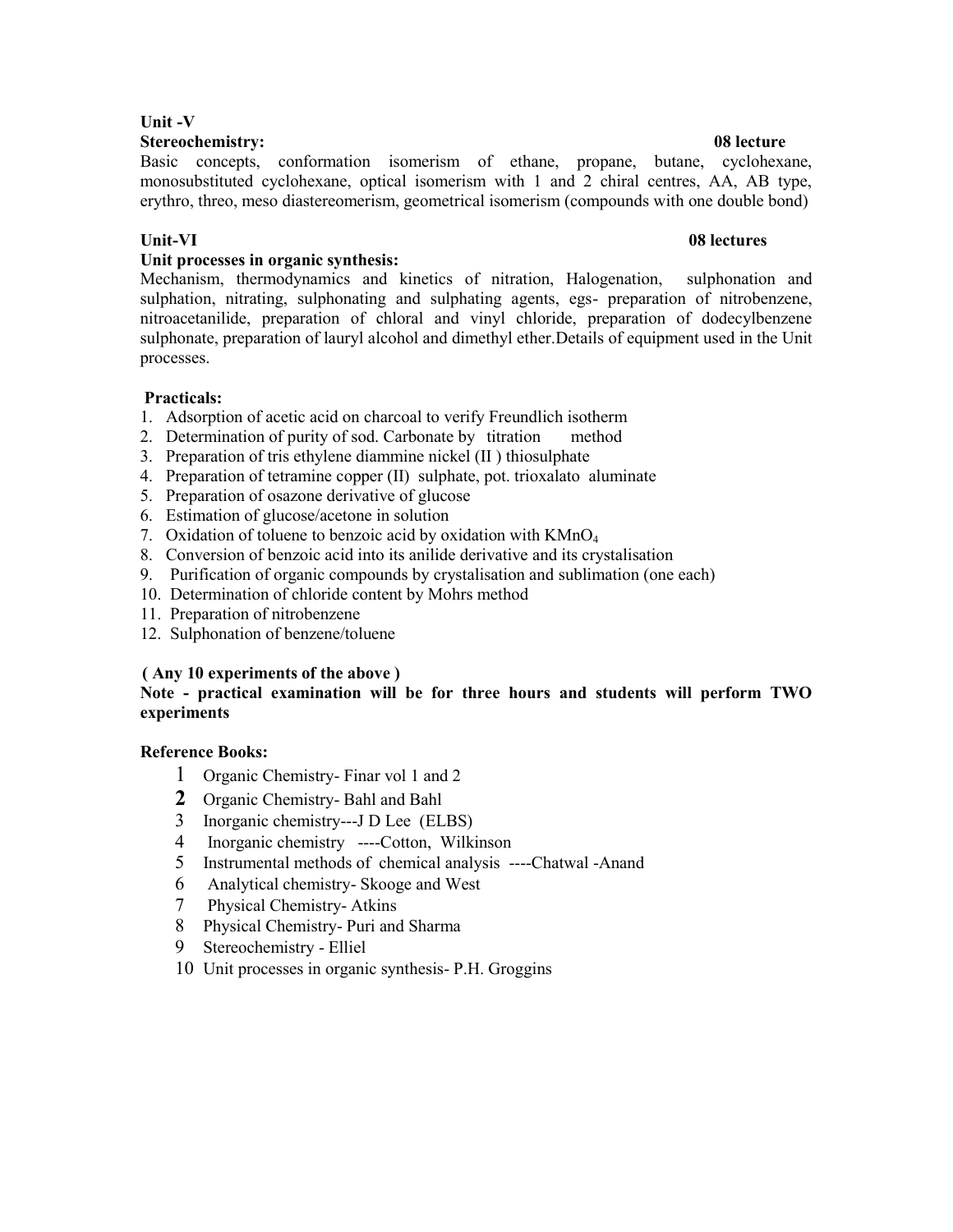# **Unit -V**

**Stereochemistry: 08 lecture**  Basic concepts, conformation isomerism of ethane, propane, butane, cyclohexane,

monosubstituted cyclohexane, optical isomerism with 1 and 2 chiral centres, AA, AB type, erythro, threo, meso diastereomerism, geometrical isomerism (compounds with one double bond)

# Unit-VI 08 lectures **1986**

# **Unit processes in organic synthesis:**

Mechanism, thermodynamics and kinetics of nitration, Halogenation, sulphonation and sulphation, nitrating, sulphonating and sulphating agents, egs- preparation of nitrobenzene, nitroacetanilide, preparation of chloral and vinyl chloride, preparation of dodecylbenzene sulphonate, preparation of lauryl alcohol and dimethyl ether.Details of equipment used in the Unit processes.

# **Practicals:**

- 1. Adsorption of acetic acid on charcoal to verify Freundlich isotherm
- 2. Determination of purity of sod. Carbonate by titration method
- 3. Preparation of tris ethylene diammine nickel (II ) thiosulphate
- 4. Preparation of tetramine copper (II) sulphate, pot. trioxalato aluminate
- 5. Preparation of osazone derivative of glucose
- 6. Estimation of glucose/acetone in solution
- 7. Oxidation of toluene to benzoic acid by oxidation with KMnO<sub>4</sub>
- 8. Conversion of benzoic acid into its anilide derivative and its crystalisation
- 9. Purification of organic compounds by crystalisation and sublimation (one each)
- 10. Determination of chloride content by Mohrs method
- 11. Preparation of nitrobenzene
- 12. Sulphonation of benzene/toluene

### **( Any 10 experiments of the above )**

# **Note - practical examination will be for three hours and students will perform TWO experiments**

### **Reference Books:**

- 1 Organic Chemistry- Finar vol 1 and 2
- **2** Organic Chemistry- Bahl and Bahl
- 3 Inorganic chemistry---J D Lee (ELBS)
- 4 Inorganic chemistry ----Cotton, Wilkinson
- 5 Instrumental methods of chemical analysis ----Chatwal -Anand
- 6 Analytical chemistry- Skooge and West
- 7 Physical Chemistry- Atkins
- 8 Physical Chemistry- Puri and Sharma
- 9 Stereochemistry Elliel
- 10 Unit processes in organic synthesis- P.H. Groggins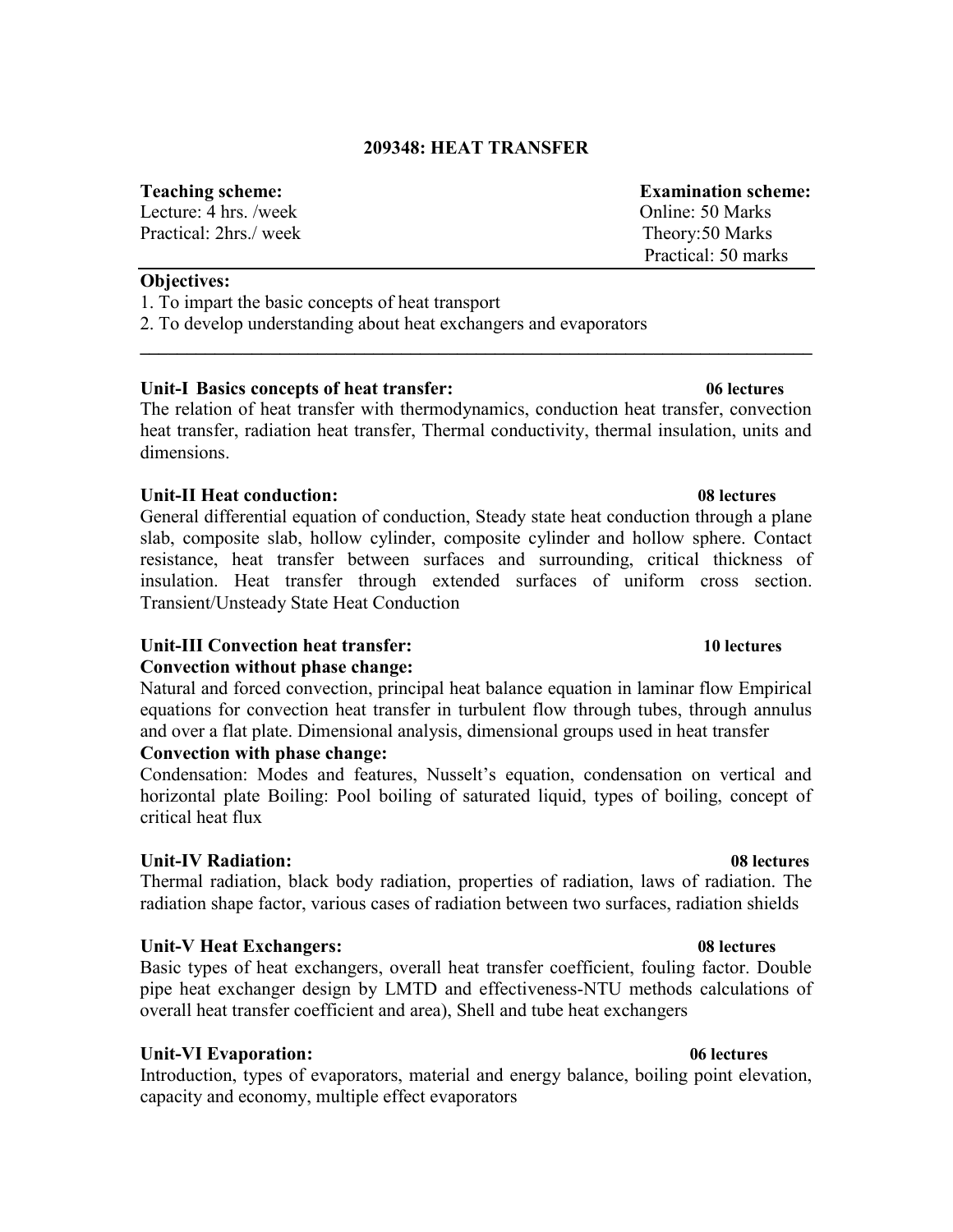# **209348: HEAT TRANSFER**

#### **Teaching scheme: Examination scheme:**

Lecture: 4 hrs. /week 0.000 Online: 50 Marks Practical: 2hrs./ week Theory:50 Marks

**Objectives:** 

1. To impart the basic concepts of heat transport

2. To develop understanding about heat exchangers and evaporators

# **Unit-I Basics concepts of heat transfer: 06 lectures**

The relation of heat transfer with thermodynamics, conduction heat transfer, convection heat transfer, radiation heat transfer, Thermal conductivity, thermal insulation, units and dimensions.

**\_\_\_\_\_\_\_\_\_\_\_\_\_\_\_\_\_\_\_\_\_\_\_\_\_\_\_\_\_\_\_\_\_\_\_\_\_\_\_\_\_\_\_\_\_\_\_\_\_\_\_\_\_\_\_\_\_\_\_\_\_\_\_\_\_\_\_\_\_\_\_\_** 

# **Unit-II Heat conduction: 08 lectures**

General differential equation of conduction, Steady state heat conduction through a plane slab, composite slab, hollow cylinder, composite cylinder and hollow sphere. Contact resistance, heat transfer between surfaces and surrounding, critical thickness of insulation. Heat transfer through extended surfaces of uniform cross section. Transient/Unsteady State Heat Conduction

# **Unit-III Convection heat transfer: 10 lectures**

# **Convection without phase change:**

Natural and forced convection, principal heat balance equation in laminar flow Empirical equations for convection heat transfer in turbulent flow through tubes, through annulus and over a flat plate. Dimensional analysis, dimensional groups used in heat transfer

# **Convection with phase change:**

Condensation: Modes and features, Nusselt's equation, condensation on vertical and horizontal plate Boiling: Pool boiling of saturated liquid, types of boiling, concept of critical heat flux

# **Unit-IV Radiation: 08 lectures**

Thermal radiation, black body radiation, properties of radiation, laws of radiation. The radiation shape factor, various cases of radiation between two surfaces, radiation shields

# **Unit-V Heat Exchangers: 08 lectures**

Basic types of heat exchangers, overall heat transfer coefficient, fouling factor. Double pipe heat exchanger design by LMTD and effectiveness-NTU methods calculations of overall heat transfer coefficient and area), Shell and tube heat exchangers

# **Unit-VI Evaporation: 06 lectures**

Introduction, types of evaporators, material and energy balance, boiling point elevation, capacity and economy, multiple effect evaporators

Practical: 50 marks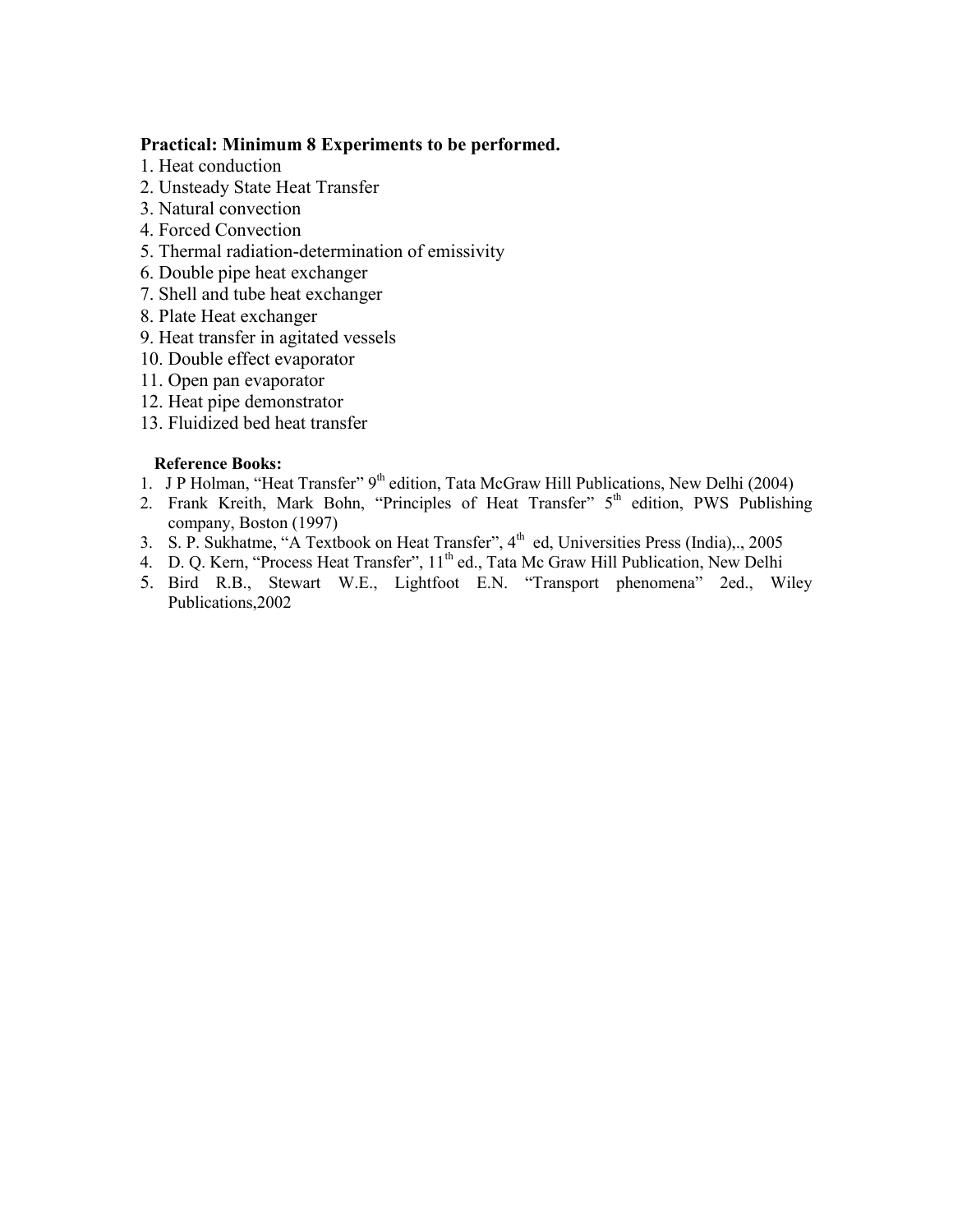# **Practical: Minimum 8 Experiments to be performed.**

- 1. Heat conduction
- 2. Unsteady State Heat Transfer
- 3. Natural convection
- 4. Forced Convection
- 5. Thermal radiation-determination of emissivity
- 6. Double pipe heat exchanger
- 7. Shell and tube heat exchanger
- 8. Plate Heat exchanger
- 9. Heat transfer in agitated vessels
- 10. Double effect evaporator
- 11. Open pan evaporator
- 12. Heat pipe demonstrator
- 13. Fluidized bed heat transfer

# **Reference Books:**

- 1. J P Holman, "Heat Transfer" 9<sup>th</sup> edition, Tata McGraw Hill Publications, New Delhi (2004)
- 2. Frank Kreith, Mark Bohn, "Principles of Heat Transfer" 5<sup>th</sup> edition, PWS Publishing company, Boston (1997)
- 3. S. P. Sukhatme, "A Textbook on Heat Transfer",  $4<sup>th</sup>$  ed, Universities Press (India),., 2005
- 4. D. Q. Kern, "Process Heat Transfer", 11<sup>th</sup> ed., Tata Mc Graw Hill Publication, New Delhi
- 5. Bird R.B., Stewart W.E., Lightfoot E.N. "Transport phenomena" 2ed., Wiley Publications,2002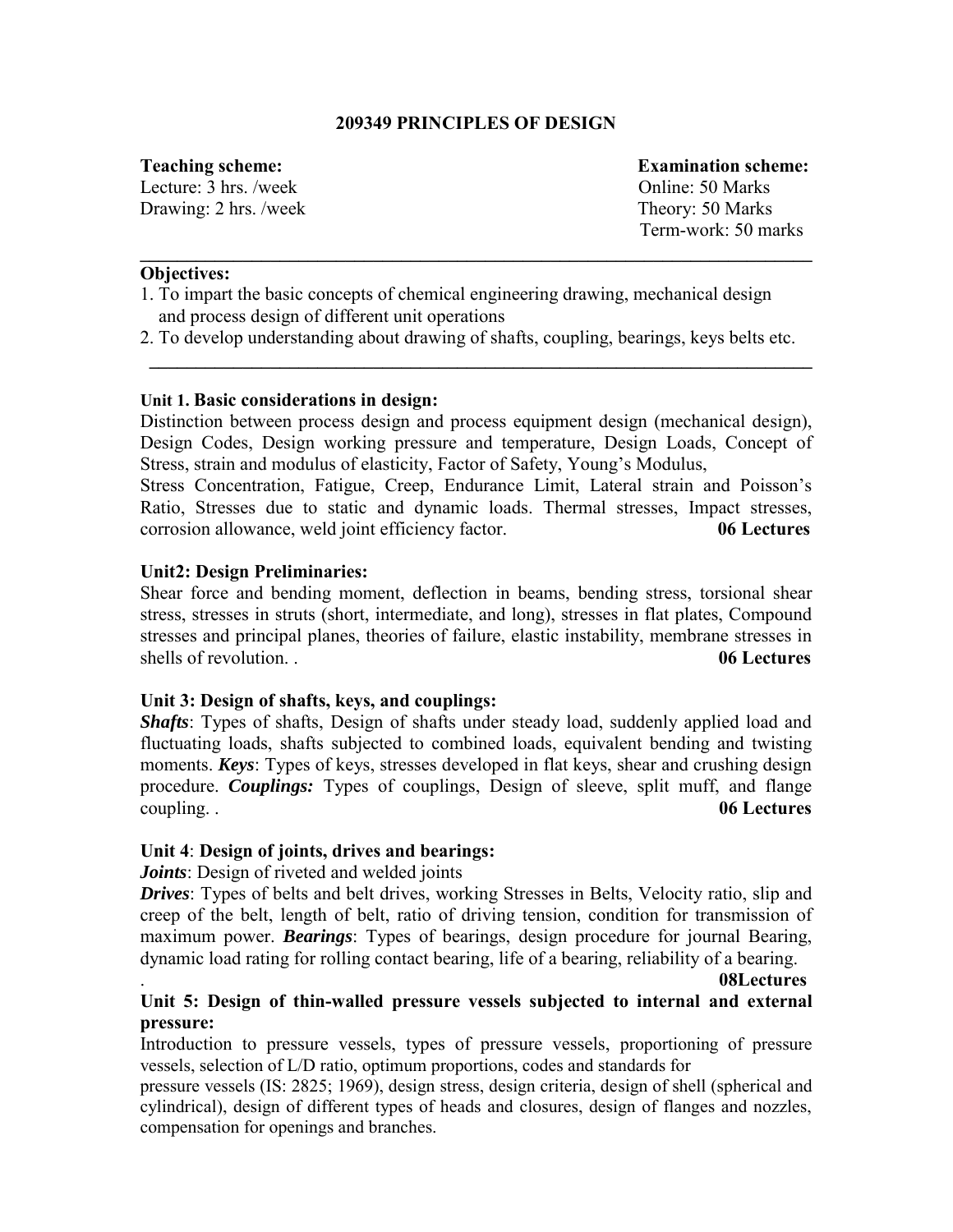# **209349 PRINCIPLES OF DESIGN**

Lecture: 3 hrs. /week Online: 50 Marks Drawing: 2 hrs. /week Theory: 50 Marks

**Teaching scheme: Examination scheme:**  Term-work: 50 marks

# **Objectives:**

- 1. To impart the basic concepts of chemical engineering drawing, mechanical design and process design of different unit operations
- 2. To develop understanding about drawing of shafts, coupling, bearings, keys belts etc.

**\_\_\_\_\_\_\_\_\_\_\_\_\_\_\_\_\_\_\_\_\_\_\_\_\_\_\_\_\_\_\_\_\_\_\_\_\_\_\_\_\_\_\_\_\_\_\_\_\_\_\_\_\_\_\_\_\_\_\_\_\_\_\_\_\_\_\_\_\_\_\_** 

**\_\_\_\_\_\_\_\_\_\_\_\_\_\_\_\_\_\_\_\_\_\_\_\_\_\_\_\_\_\_\_\_\_\_\_\_\_\_\_\_\_\_\_\_\_\_\_\_\_\_\_\_\_\_\_\_\_\_\_\_\_\_\_\_\_\_\_\_\_\_\_\_**

# **Unit 1. Basic considerations in design:**

Distinction between process design and process equipment design (mechanical design), Design Codes, Design working pressure and temperature, Design Loads, Concept of Stress, strain and modulus of elasticity, Factor of Safety, Young's Modulus,

Stress Concentration, Fatigue, Creep, Endurance Limit, Lateral strain and Poisson's Ratio, Stresses due to static and dynamic loads. Thermal stresses, Impact stresses, corrosion allowance, weld joint efficiency factor. **06 Lectures**

# **Unit2: Design Preliminaries:**

Shear force and bending moment, deflection in beams, bending stress, torsional shear stress, stresses in struts (short, intermediate, and long), stresses in flat plates, Compound stresses and principal planes, theories of failure, elastic instability, membrane stresses in shells of revolution. . **06 Lectures**

# **Unit 3: Design of shafts, keys, and couplings:**

*Shafts*: Types of shafts, Design of shafts under steady load, suddenly applied load and fluctuating loads, shafts subjected to combined loads, equivalent bending and twisting moments. *Keys*: Types of keys, stresses developed in flat keys, shear and crushing design procedure. *Couplings:* Types of couplings, Design of sleeve, split muff, and flange coupling. . **06 Lectures**

# **Unit 4**: **Design of joints, drives and bearings:**

*Joints*: Design of riveted and welded joints

*Drives*: Types of belts and belt drives, working Stresses in Belts, Velocity ratio, slip and creep of the belt, length of belt, ratio of driving tension, condition for transmission of maximum power. *Bearings*: Types of bearings, design procedure for journal Bearing, dynamic load rating for rolling contact bearing, life of a bearing, reliability of a bearing.

#### . **08Lectures**

# **Unit 5: Design of thin-walled pressure vessels subjected to internal and external pressure:**

Introduction to pressure vessels, types of pressure vessels, proportioning of pressure vessels, selection of L/D ratio, optimum proportions, codes and standards for

pressure vessels (IS: 2825; 1969), design stress, design criteria, design of shell (spherical and cylindrical), design of different types of heads and closures, design of flanges and nozzles, compensation for openings and branches.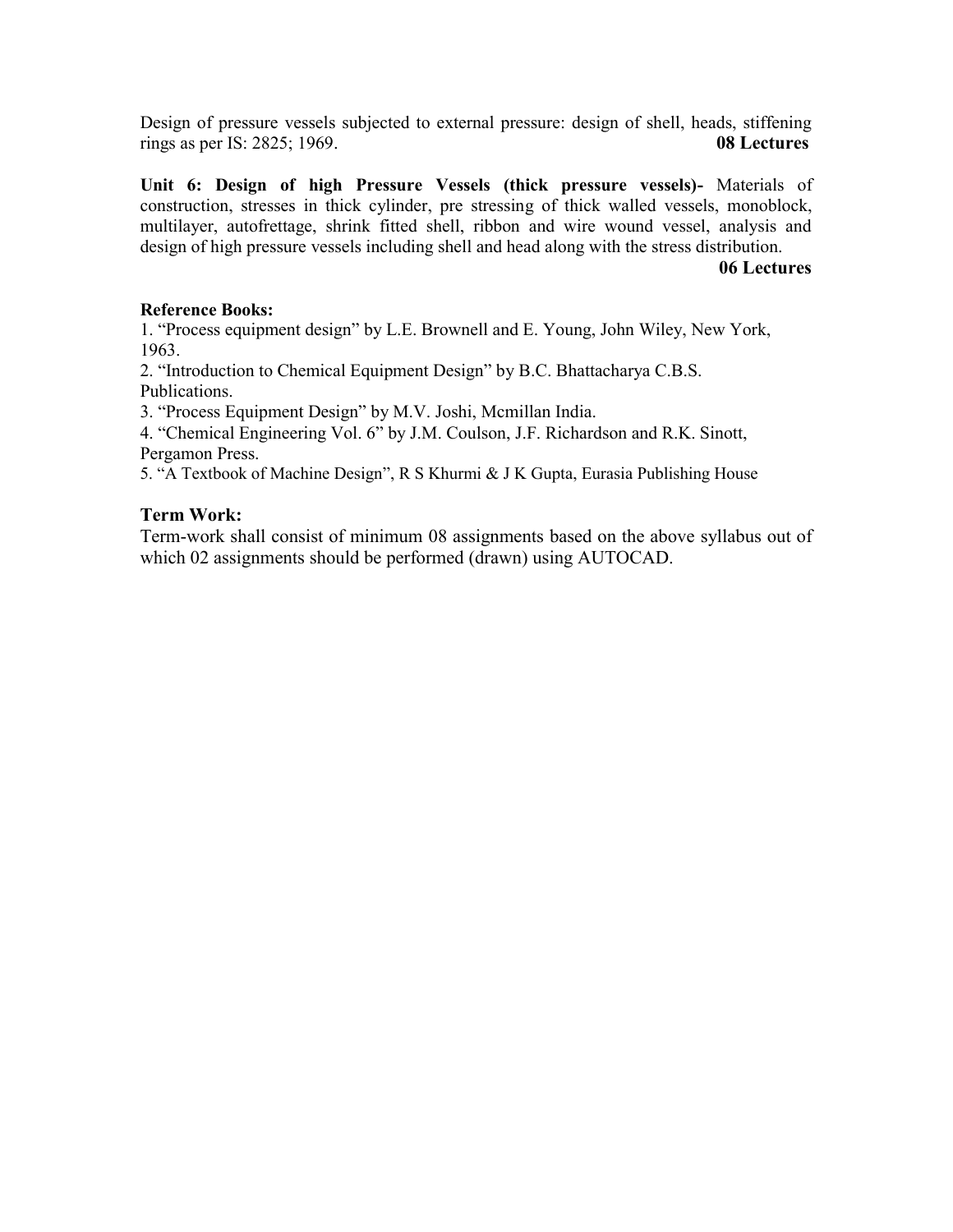Design of pressure vessels subjected to external pressure: design of shell, heads, stiffening rings as per IS: 2825; 1969. **08 Lectures**

**Unit 6: Design of high Pressure Vessels (thick pressure vessels)-** Materials of construction, stresses in thick cylinder, pre stressing of thick walled vessels, monoblock, multilayer, autofrettage, shrink fitted shell, ribbon and wire wound vessel, analysis and design of high pressure vessels including shell and head along with the stress distribution.

#### **06 Lectures**

# **Reference Books:**

1. "Process equipment design" by L.E. Brownell and E. Young, John Wiley, New York, 1963.

2. "Introduction to Chemical Equipment Design" by B.C. Bhattacharya C.B.S. Publications.

3. "Process Equipment Design" by M.V. Joshi, Mcmillan India.

4. "Chemical Engineering Vol. 6" by J.M. Coulson, J.F. Richardson and R.K. Sinott, Pergamon Press.

5. "A Textbook of Machine Design", R S Khurmi & J K Gupta, Eurasia Publishing House

# **Term Work:**

Term-work shall consist of minimum 08 assignments based on the above syllabus out of which 02 assignments should be performed (drawn) using AUTOCAD.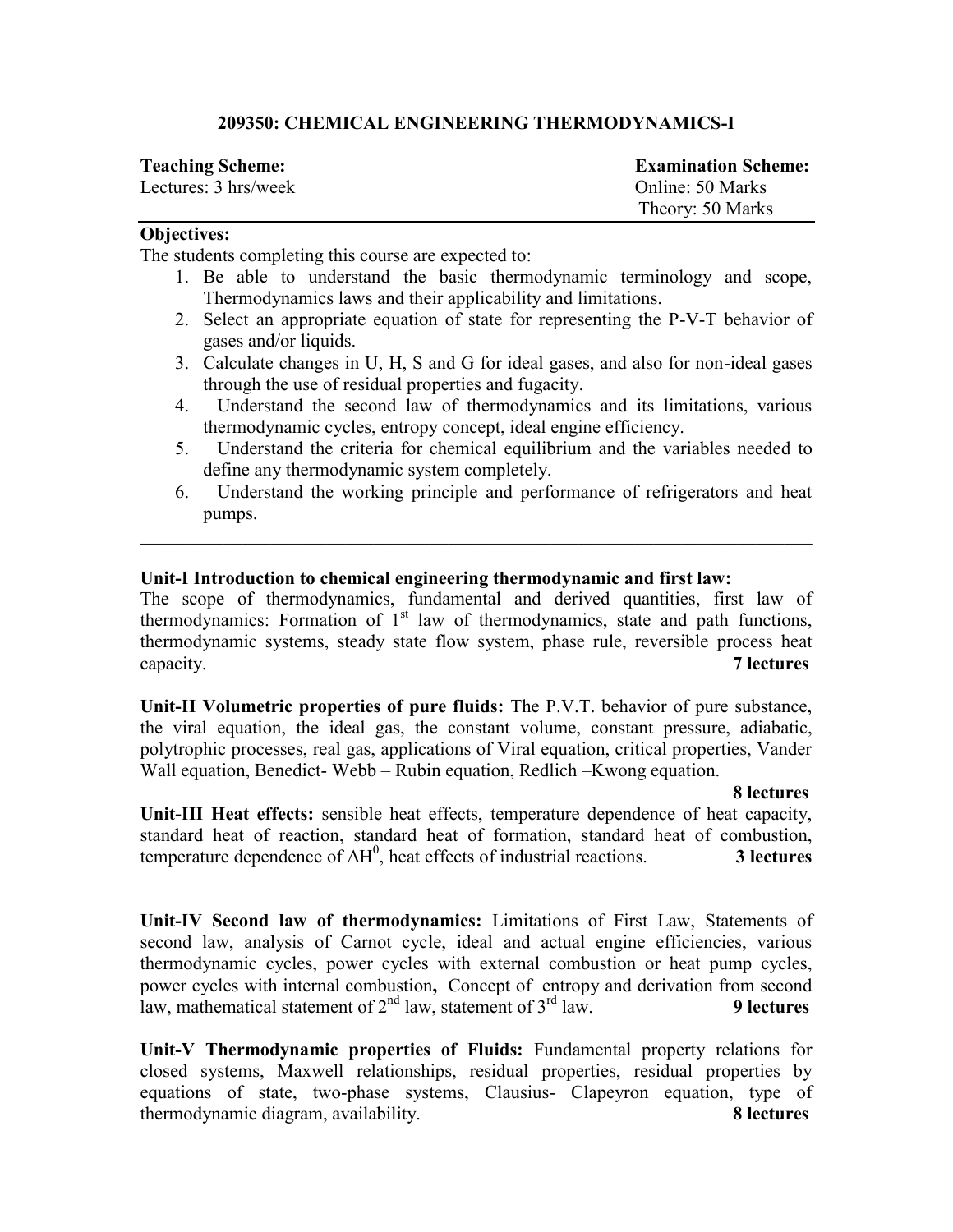# **209350: CHEMICAL ENGINEERING THERMODYNAMICS-I**

| <b>Teaching Scheme:</b> | <b>Examination Scheme:</b> |
|-------------------------|----------------------------|
| Lectures: 3 hrs/week    | Online: 50 Marks           |
|                         | Theory: 50 Marks           |

# **Objectives:**

The students completing this course are expected to:

- 1. Be able to understand the basic thermodynamic terminology and scope, Thermodynamics laws and their applicability and limitations.
- 2. Select an appropriate equation of state for representing the P-V-T behavior of gases and/or liquids.
- 3. Calculate changes in U, H, S and G for ideal gases, and also for non-ideal gases through the use of residual properties and fugacity.
- 4. Understand the second law of thermodynamics and its limitations, various thermodynamic cycles, entropy concept, ideal engine efficiency.
- 5. Understand the criteria for chemical equilibrium and the variables needed to define any thermodynamic system completely.
- 6. Understand the working principle and performance of refrigerators and heat pumps.

# **Unit-I Introduction to chemical engineering thermodynamic and first law:**

The scope of thermodynamics, fundamental and derived quantities, first law of thermodynamics: Formation of  $1<sup>st</sup>$  law of thermodynamics, state and path functions, thermodynamic systems, steady state flow system, phase rule, reversible process heat capacity. **7 lectures** 

\_\_\_\_\_\_\_\_\_\_\_\_\_\_\_\_\_\_\_\_\_\_\_\_\_\_\_\_\_\_\_\_\_\_\_\_\_\_\_\_\_\_\_\_\_\_\_\_\_\_\_\_\_\_\_\_\_\_\_\_\_\_\_\_\_\_\_\_\_\_\_\_

**Unit-II Volumetric properties of pure fluids:** The P.V.T. behavior of pure substance, the viral equation, the ideal gas, the constant volume, constant pressure, adiabatic, polytrophic processes, real gas, applications of Viral equation, critical properties, Vander Wall equation, Benedict- Webb – Rubin equation, Redlich –Kwong equation.

# **8 lectures**

**Unit-III Heat effects:** sensible heat effects, temperature dependence of heat capacity, standard heat of reaction, standard heat of formation, standard heat of combustion, temperature dependence of  $\Delta H^0$ , heat effects of industrial reactions. **3 lectures** 

**Unit-IV Second law of thermodynamics:** Limitations of First Law, Statements of second law, analysis of Carnot cycle, ideal and actual engine efficiencies, various thermodynamic cycles, power cycles with [external combustion](http://en.wikipedia.org/wiki/External_combustion) or heat pump cycles, power cycles with [internal combustion](http://en.wikipedia.org/wiki/Internal_combustion)**,** Concept of entropy and derivation from second law, mathematical statement of  $2<sup>nd</sup>$  law, statement of  $3<sup>rd</sup>$  law. **9 lectures** 

**Unit-V Thermodynamic properties of Fluids:** Fundamental property relations for closed systems, Maxwell relationships, residual properties, residual properties by equations of state, two-phase systems, Clausius- Clapeyron equation, type of thermodynamic diagram, availability. **8 lectures**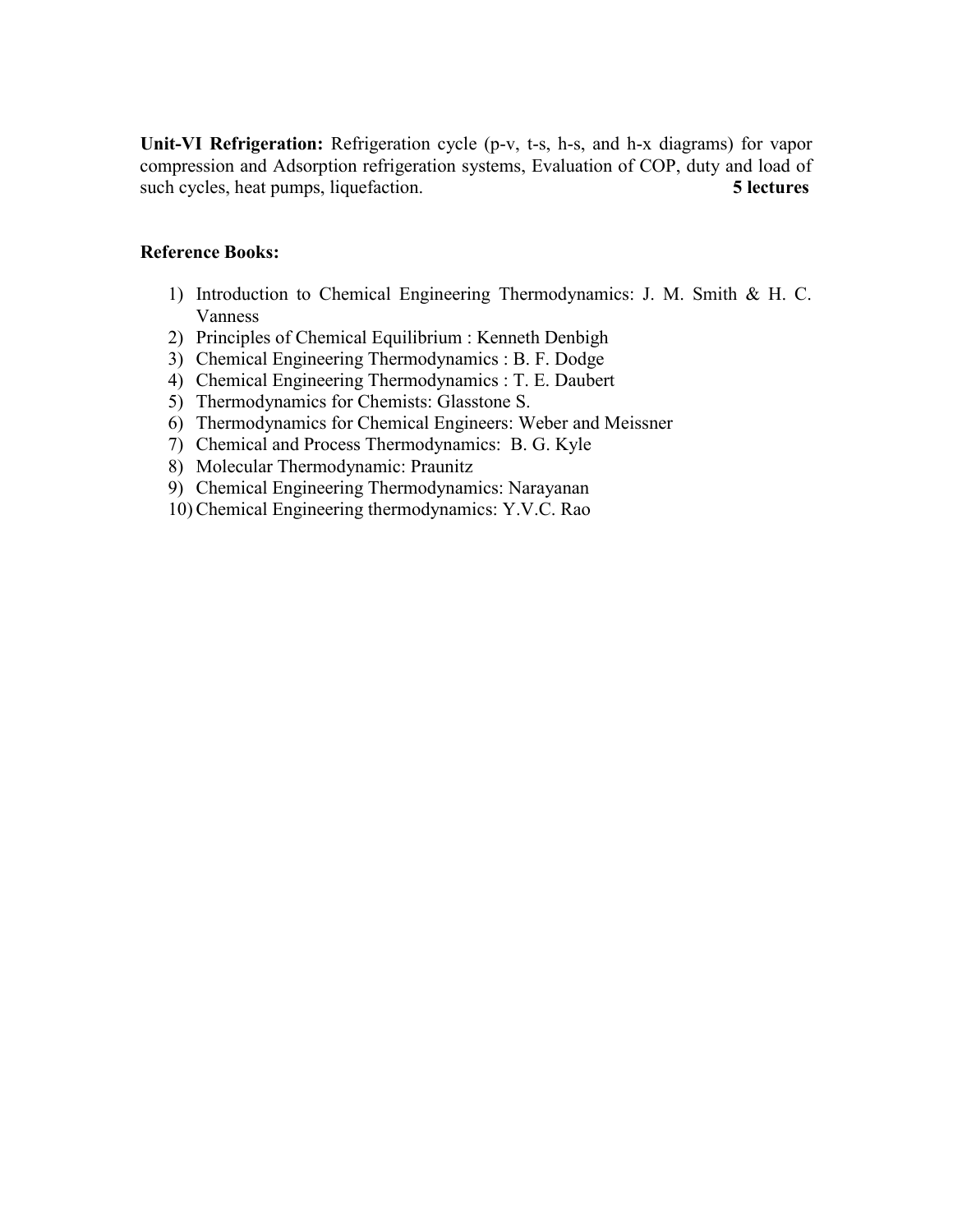**Unit-VI Refrigeration:** Refrigeration cycle (p-v, t-s, h-s, and h-x diagrams) for vapor compression and Adsorption refrigeration systems, Evaluation of COP, duty and load of such cycles, heat pumps, liquefaction. **5 lectures** 

# **Reference Books:**

- 1) Introduction to Chemical Engineering Thermodynamics: J. M. Smith & H. C. Vanness
- 2) Principles of Chemical Equilibrium : Kenneth Denbigh
- 3) Chemical Engineering Thermodynamics : B. F. Dodge
- 4) Chemical Engineering Thermodynamics : T. E. Daubert
- 5) Thermodynamics for Chemists: Glasstone S.
- 6) Thermodynamics for Chemical Engineers: Weber and Meissner
- 7) Chemical and Process Thermodynamics: B. G. Kyle
- 8) Molecular Thermodynamic: Praunitz
- 9) Chemical Engineering Thermodynamics: Narayanan
- 10) Chemical Engineering thermodynamics: Y.V.C. Rao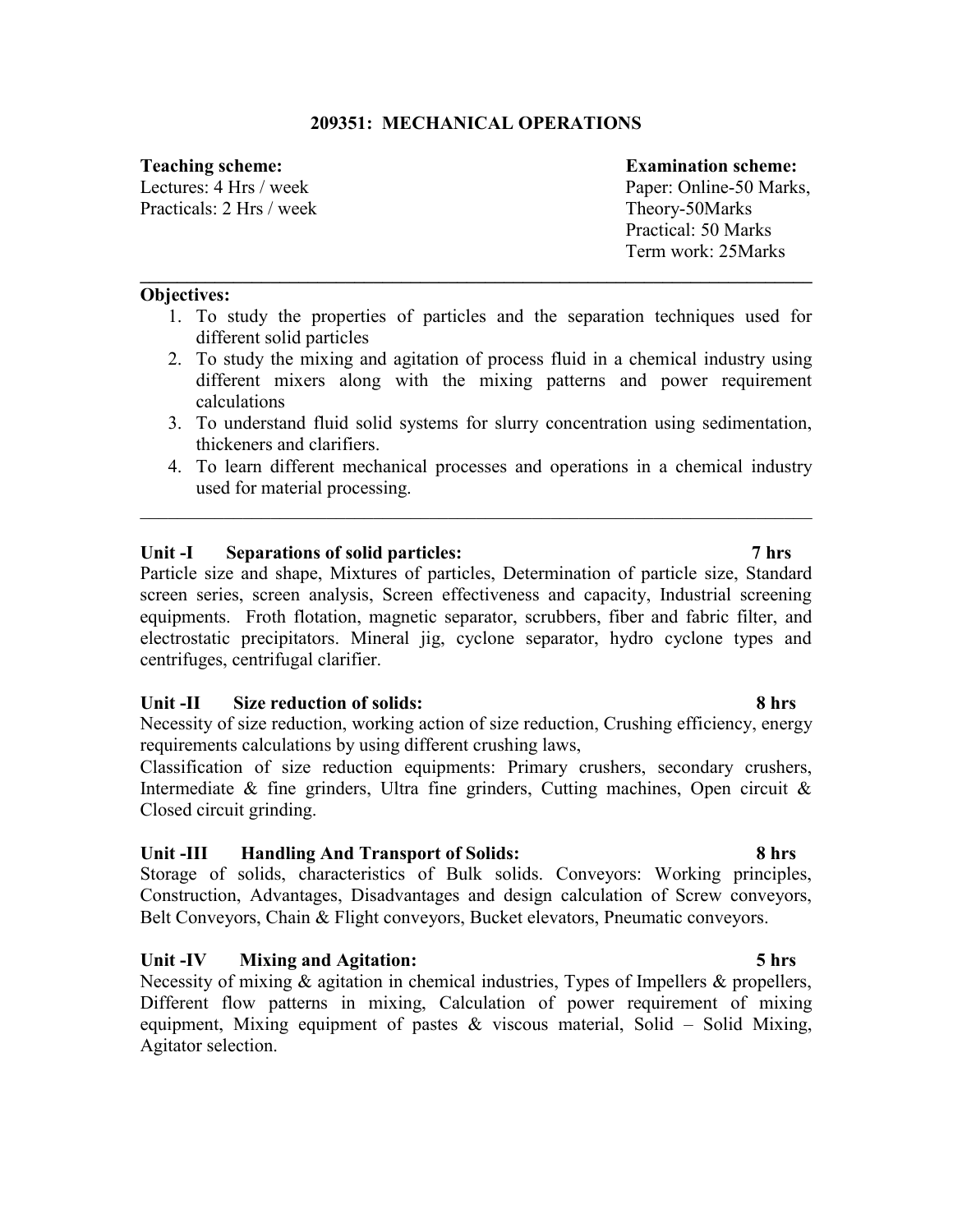# **209351: MECHANICAL OPERATIONS**

Practicals: 2 Hrs / week Theory-50Marks

# **Teaching scheme: Examination scheme:**

Lectures: 4 Hrs / week Paper: Online-50 Marks, Practical: 50 Marks Term work: 25Marks

# **Objectives:**

1. To study the properties of particles and the separation techniques used for different solid particles

**\_\_\_\_\_\_\_\_\_\_\_\_\_\_\_\_\_\_\_\_\_\_\_\_\_\_\_\_\_\_\_\_\_\_\_\_\_\_\_\_\_\_\_\_\_\_\_\_\_\_\_\_\_\_\_\_\_\_\_\_\_\_\_\_\_\_\_\_\_\_\_\_**

- 2. To study the mixing and agitation of process fluid in a chemical industry using different mixers along with the mixing patterns and power requirement calculations
- 3. To understand fluid solid systems for slurry concentration using sedimentation, thickeners and clarifiers.
- 4. To learn different mechanical processes and operations in a chemical industry used for material processing.

\_\_\_\_\_\_\_\_\_\_\_\_\_\_\_\_\_\_\_\_\_\_\_\_\_\_\_\_\_\_\_\_\_\_\_\_\_\_\_\_\_\_\_\_\_\_\_\_\_\_\_\_\_\_\_\_\_\_\_\_\_\_\_\_\_\_\_\_\_\_\_\_

# **Unit -I Separations of solid particles: 7 hrs**

Particle size and shape, Mixtures of particles, Determination of particle size, Standard screen series, screen analysis, Screen effectiveness and capacity, Industrial screening equipments. Froth flotation, magnetic separator, scrubbers, fiber and fabric filter, and electrostatic precipitators. Mineral jig, cyclone separator, hydro cyclone types and centrifuges, centrifugal clarifier.

# **Unit -II Size reduction of solids: 8 hrs**

Necessity of size reduction, working action of size reduction, Crushing efficiency, energy requirements calculations by using different crushing laws,

Classification of size reduction equipments: Primary crushers, secondary crushers, Intermediate  $\&$  fine grinders, Ultra fine grinders, Cutting machines, Open circuit  $\&$ Closed circuit grinding.

# **Unit -III Handling And Transport of Solids: 8 hrs**

Storage of solids, characteristics of Bulk solids. Conveyors: Working principles, Construction, Advantages, Disadvantages and design calculation of Screw conveyors, Belt Conveyors, Chain & Flight conveyors, Bucket elevators, Pneumatic conveyors.

# **Unit -IV Mixing and Agitation: 5 hrs**

Necessity of mixing  $\&$  agitation in chemical industries, Types of Impellers  $\&$  propellers, Different flow patterns in mixing, Calculation of power requirement of mixing equipment, Mixing equipment of pastes  $\&$  viscous material, Solid – Solid Mixing, Agitator selection.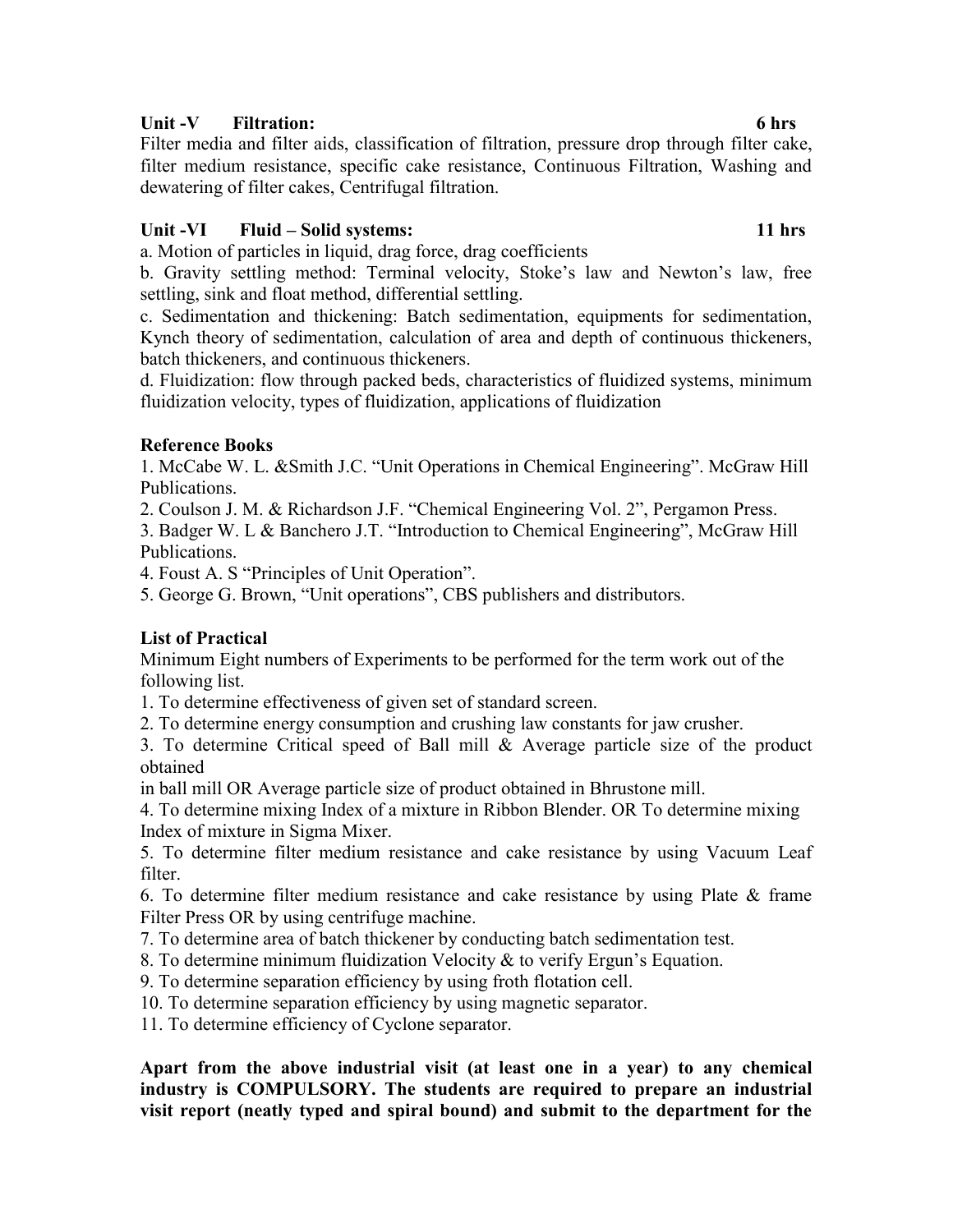# Unit -V Filtration: 6 hrs

Filter media and filter aids, classification of filtration, pressure drop through filter cake, filter medium resistance, specific cake resistance, Continuous Filtration, Washing and dewatering of filter cakes, Centrifugal filtration.

# Unit -VI Fluid – Solid systems: 11 hrs **11 hrs 11 hrs**

a. Motion of particles in liquid, drag force, drag coefficients

b. Gravity settling method: Terminal velocity, Stoke's law and Newton's law, free settling, sink and float method, differential settling.

c. Sedimentation and thickening: Batch sedimentation, equipments for sedimentation, Kynch theory of sedimentation, calculation of area and depth of continuous thickeners, batch thickeners, and continuous thickeners.

d. Fluidization: flow through packed beds, characteristics of fluidized systems, minimum fluidization velocity, types of fluidization, applications of fluidization

# **Reference Books**

1. McCabe W. L. &Smith J.C. "Unit Operations in Chemical Engineering". McGraw Hill Publications.

2. Coulson J. M. & Richardson J.F. "Chemical Engineering Vol. 2", Pergamon Press.

3. Badger W. L & Banchero J.T. "Introduction to Chemical Engineering", McGraw Hill Publications.

4. Foust A. S "Principles of Unit Operation".

5. George G. Brown, "Unit operations", CBS publishers and distributors.

# **List of Practical**

Minimum Eight numbers of Experiments to be performed for the term work out of the following list.

1. To determine effectiveness of given set of standard screen.

2. To determine energy consumption and crushing law constants for jaw crusher.

3. To determine Critical speed of Ball mill & Average particle size of the product obtained

in ball mill OR Average particle size of product obtained in Bhrustone mill.

4. To determine mixing Index of a mixture in Ribbon Blender. OR To determine mixing Index of mixture in Sigma Mixer.

5. To determine filter medium resistance and cake resistance by using Vacuum Leaf filter.

6. To determine filter medium resistance and cake resistance by using Plate & frame Filter Press OR by using centrifuge machine.

7. To determine area of batch thickener by conducting batch sedimentation test.

8. To determine minimum fluidization Velocity & to verify Ergun's Equation.

9. To determine separation efficiency by using froth flotation cell.

10. To determine separation efficiency by using magnetic separator.

11. To determine efficiency of Cyclone separator.

**Apart from the above industrial visit (at least one in a year) to any chemical industry is COMPULSORY. The students are required to prepare an industrial visit report (neatly typed and spiral bound) and submit to the department for the**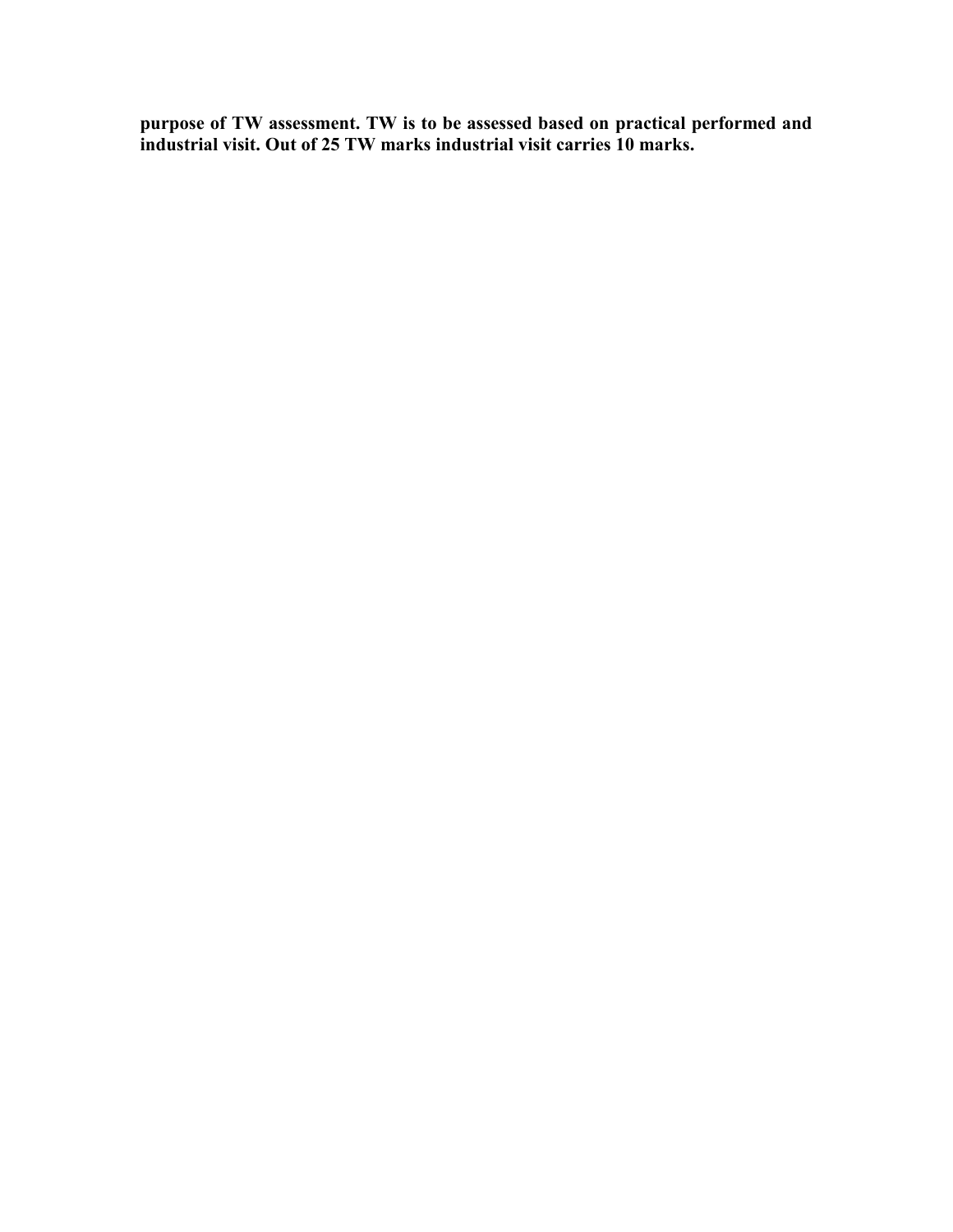**purpose of TW assessment. TW is to be assessed based on practical performed and industrial visit. Out of 25 TW marks industrial visit carries 10 marks.**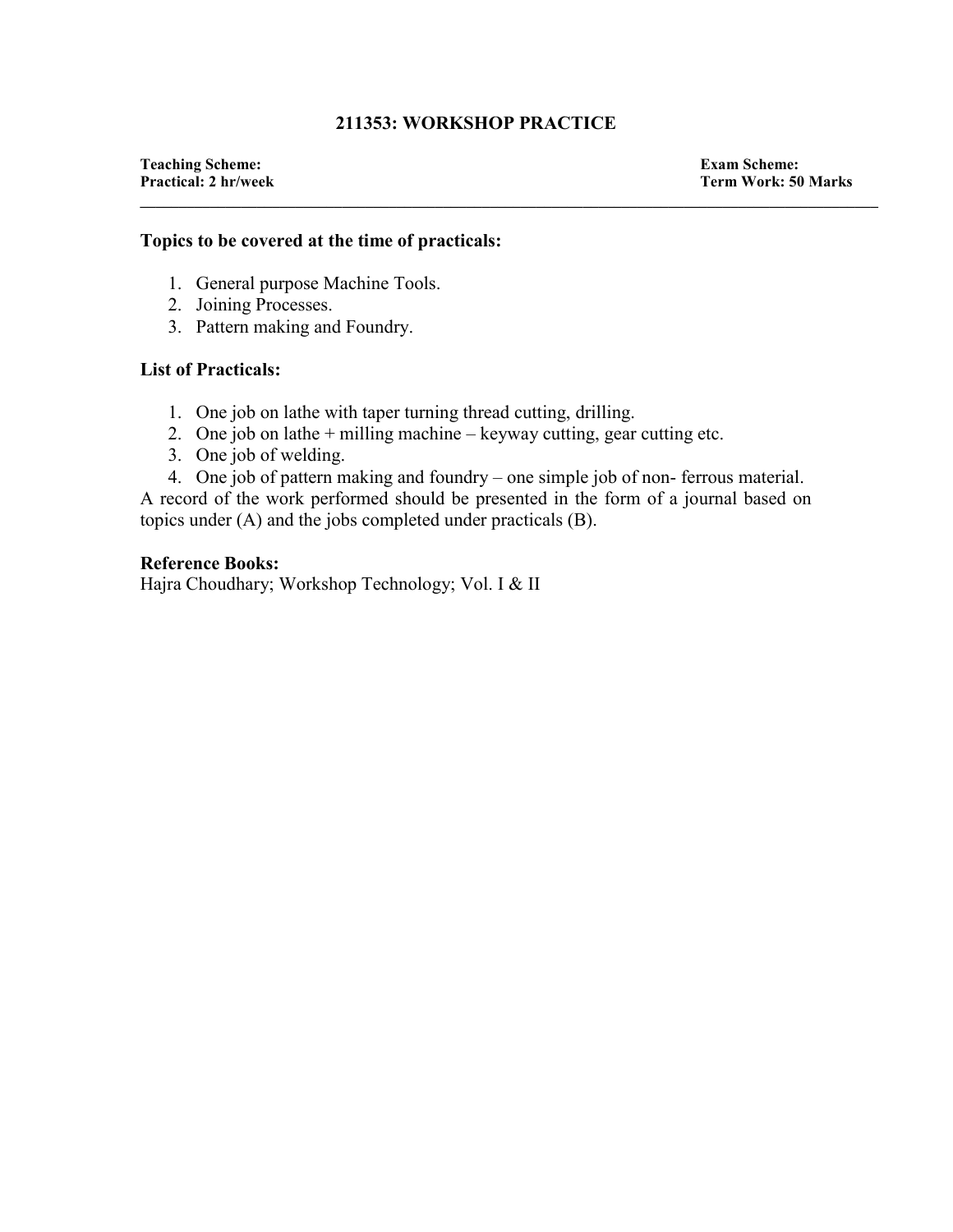# **211353: WORKSHOP PRACTICE**

**\_\_\_\_\_\_\_\_\_\_\_\_\_\_\_\_\_\_\_\_\_\_\_\_\_\_\_\_\_\_\_\_\_\_\_\_\_\_\_\_\_\_\_\_\_\_\_\_\_\_\_\_\_\_\_\_\_\_\_\_\_\_\_\_\_\_\_\_\_\_\_\_\_\_\_\_\_\_\_\_\_\_\_\_\_\_\_\_\_\_\_\_\_\_\_** 

**Teaching Scheme: Exam Scheme:** 

**Term Work: 50 Marks** 

# **Topics to be covered at the time of practicals:**

- 1. General purpose Machine Tools.
- 2. Joining Processes.
- 3. Pattern making and Foundry.

# **List of Practicals:**

- 1. One job on lathe with taper turning thread cutting, drilling.
- 2. One job on lathe + milling machine keyway cutting, gear cutting etc.
- 3. One job of welding.
- 4. One job of pattern making and foundry one simple job of non- ferrous material.

A record of the work performed should be presented in the form of a journal based on topics under (A) and the jobs completed under practicals (B).

### **Reference Books:**

Hajra Choudhary; Workshop Technology; Vol. I & II